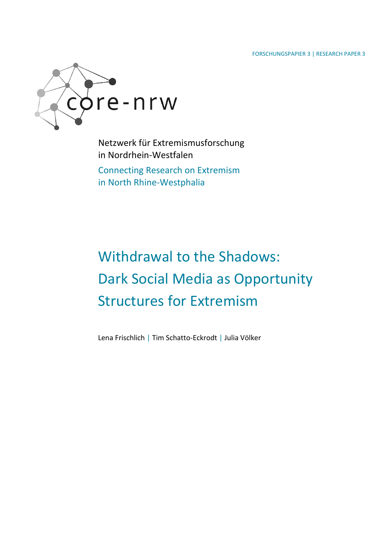FORSCHUNGSPAPIER 3 | RESEARCH PAPER 3



Netzwerk für Extremismusforschung in Nordrhein-Westfalen

Connecting Research on Extremism in North Rhine-Westphalia

# Withdrawal to the Shadows: Dark Social Media as Opportunity Structures for Extremism

Lena Frischlich | Tim Schatto-Eckrodt | Julia Völker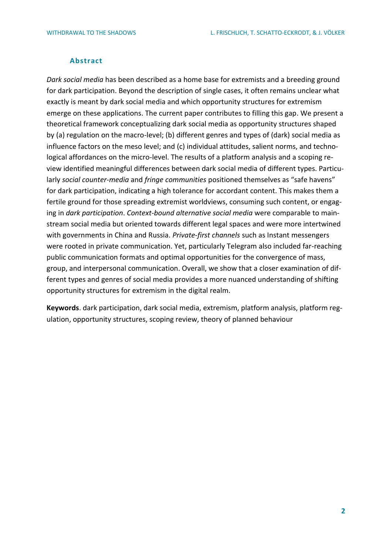### **Abstract**

*Dark social media* has been described as a home base for extremists and a breeding ground for dark participation. Beyond the description of single cases, it often remains unclear what exactly is meant by dark social media and which opportunity structures for extremism emerge on these applications. The current paper contributes to filling this gap. We present a theoretical framework conceptualizing dark social media as opportunity structures shaped by (a) regulation on the macro-level; (b) different genres and types of (dark) social media as influence factors on the meso level; and (c) individual attitudes, salient norms, and technological affordances on the micro-level. The results of a platform analysis and a scoping review identified meaningful differences between dark social media of different types. Particularly *social counter-media* and *fringe communities* positioned themselves as "safe havens" for dark participation, indicating a high tolerance for accordant content. This makes them a fertile ground for those spreading extremist worldviews, consuming such content, or engaging in *dark participation*. *Context-bound alternative social media* were comparable to mainstream social media but oriented towards different legal spaces and were more intertwined with governments in China and Russia. *Private-first channels* such as Instant messengers were rooted in private communication. Yet, particularly Telegram also included far-reaching public communication formats and optimal opportunities for the convergence of mass, group, and interpersonal communication. Overall, we show that a closer examination of different types and genres of social media provides a more nuanced understanding of shifting opportunity structures for extremism in the digital realm.

**Keywords**. dark participation, dark social media, extremism, platform analysis, platform regulation, opportunity structures, scoping review, theory of planned behaviour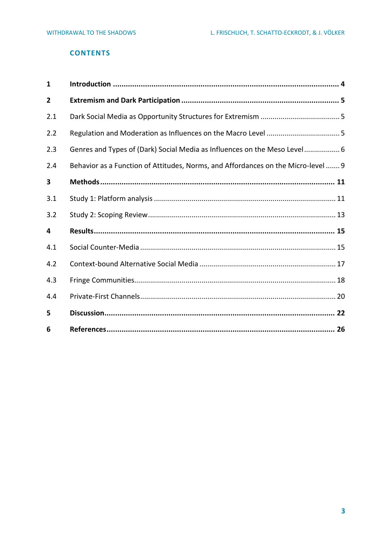# **CONTENTS**

| $\mathbf{1}$ |                                                                                   |
|--------------|-----------------------------------------------------------------------------------|
| 2            |                                                                                   |
| 2.1          |                                                                                   |
| 2.2          |                                                                                   |
| 2.3          | Genres and Types of (Dark) Social Media as Influences on the Meso Level 6         |
| 2.4          | Behavior as a Function of Attitudes, Norms, and Affordances on the Micro-level  9 |
| 3            |                                                                                   |
| 3.1          |                                                                                   |
| 3.2          |                                                                                   |
| 4            |                                                                                   |
| 4.1          |                                                                                   |
| 4.2          |                                                                                   |
| 4.3          |                                                                                   |
| 4.4          |                                                                                   |
| 5            |                                                                                   |
| 6            |                                                                                   |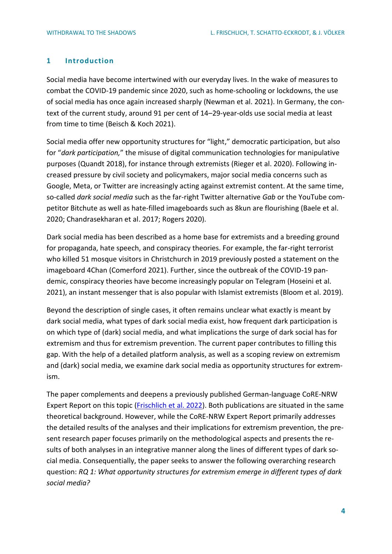## <span id="page-3-0"></span>**1 Introduction**

Social media have become intertwined with our everyday lives. In the wake of measures to combat the COVID-19 pandemic since 2020, such as home-schooling or lockdowns, the use of social media has once again increased sharply (Newman et al. 2021). In Germany, the context of the current study, around 91 per cent of 14–29-year-olds use social media at least from time to time (Beisch & Koch 2021).

Social media offer new opportunity structures for "light," democratic participation, but also for "*dark participation,*" the misuse of digital communication technologies for manipulative purposes (Quandt 2018), for instance through extremists (Rieger et al. 2020). Following increased pressure by civil society and policymakers, major social media concerns such as Google, Meta, or Twitter are increasingly acting against extremist content. At the same time, so-called *dark social media* such as the far-right Twitter alternative *Gab* or the YouTube competitor Bitchute as well as hate-filled imageboards such as 8kun are flourishing (Baele et al. 2020; Chandrasekharan et al. 2017; Rogers 2020).

Dark social media has been described as a home base for extremists and a breeding ground for propaganda, hate speech, and conspiracy theories. For example, the far-right terrorist who killed 51 mosque visitors in Christchurch in 2019 previously posted a statement on the imageboard 4Chan (Comerford 2021). Further, since the outbreak of the COVID-19 pandemic, conspiracy theories have become increasingly popular on Telegram (Hoseini et al. 2021), an instant messenger that is also popular with Islamist extremists (Bloom et al. 2019).

Beyond the description of single cases, it often remains unclear what exactly is meant by dark social media, what types of dark social media exist, how frequent dark participation is on which type of (dark) social media, and what implications the surge of dark social has for extremism and thus for extremism prevention. The current paper contributes to filling this gap. With the help of a detailed platform analysis, as well as a scoping review on extremism and (dark) social media, we examine dark social media as opportunity structures for extremism.

The paper complements and deepens a previously published German-language CoRE-NRW Expert Report on this topic [\(Frischlich](https://www.bicc.de/publications/publicationpage/publication/rueckzug-in-die-schatten-die-verlagerung-digitaler-foren-zwischen-fringe-communities-und-dark-so/) et al. 2022). Both publications are situated in the same theoretical background. However, while the CoRE-NRW Expert Report primarily addresses the detailed results of the analyses and their implications for extremism prevention, the present research paper focuses primarily on the methodological aspects and presents the results of both analyses in an integrative manner along the lines of different types of dark social media. Consequentially, the paper seeks to answer the following overarching research question: *RQ 1: What opportunity structures for extremism emerge in different types of dark social media?*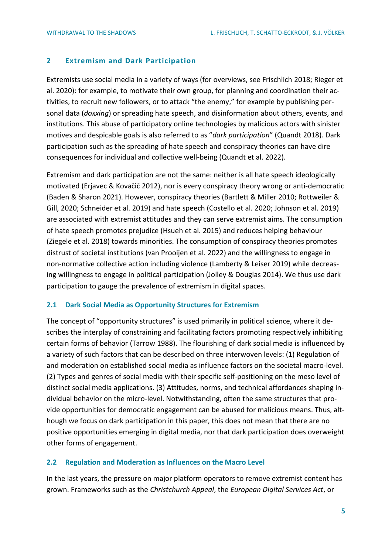# <span id="page-4-0"></span>**2 Extremism and Dark Participation**

Extremists use social media in a variety of ways (for overviews, see Frischlich 2018; Rieger et al. 2020): for example, to motivate their own group, for planning and coordination their activities, to recruit new followers, or to attack "the enemy," for example by publishing personal data (*doxxing*) or spreading hate speech, and disinformation about others, events, and institutions. This abuse of participatory online technologies by malicious actors with sinister motives and despicable goals is also referred to as "*dark participation*" (Quandt 2018). Dark participation such as the spreading of hate speech and conspiracy theories can have dire consequences for individual and collective well-being (Quandt et al. 2022).

Extremism and dark participation are not the same: neither is all hate speech ideologically motivated (Erjavec & Kovačič 2012), nor is every conspiracy theory wrong or anti-democratic (Baden & Sharon 2021). However, conspiracy theories (Bartlett & Miller 2010; Rottweiler & Gill, 2020; Schneider et al. 2019) and hate speech (Costello et al. 2020; Johnson et al. 2019) are associated with extremist attitudes and they can serve extremist aims. The consumption of hate speech promotes prejudice (Hsueh et al. 2015) and reduces helping behaviour (Ziegele et al. 2018) towards minorities. The consumption of conspiracy theories promotes distrust of societal institutions (van Prooijen et al. 2022) and the willingness to engage in non-normative collective action including violence (Lamberty & Leiser 2019) while decreasing willingness to engage in political participation (Jolley & Douglas 2014). We thus use dark participation to gauge the prevalence of extremism in digital spaces.

#### <span id="page-4-1"></span>**2.1 Dark Social Media as Opportunity Structures for Extremism**

The concept of "opportunity structures" is used primarily in political science, where it describes the interplay of constraining and facilitating factors promoting respectively inhibiting certain forms of behavior (Tarrow 1988). The flourishing of dark social media is influenced by a variety of such factors that can be described on three interwoven levels: (1) Regulation of and moderation on established social media as influence factors on the societal macro-level. (2) Types and genres of social media with their specific self-positioning on the meso level of distinct social media applications. (3) Attitudes, norms, and technical affordances shaping individual behavior on the micro-level. Notwithstanding, often the same structures that provide opportunities for democratic engagement can be abused for malicious means. Thus, although we focus on dark participation in this paper, this does not mean that there are no positive opportunities emerging in digital media, nor that dark participation does overweight other forms of engagement.

### <span id="page-4-2"></span>**2.2 Regulation and Moderation as Influences on the Macro Level**

In the last years, the pressure on major platform operators to remove extremist content has grown. Frameworks such as the *Christchurch Appeal*, the *European Digital Services Act*, or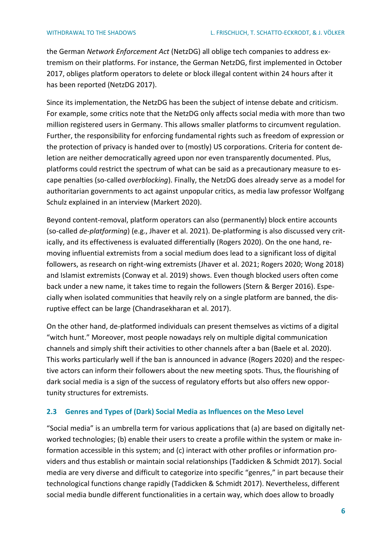the German *Network Enforcement Act* (NetzDG) all oblige tech companies to address extremism on their platforms. For instance, the German NetzDG, first implemented in October 2017, obliges platform operators to delete or block illegal content within 24 hours after it has been reported (NetzDG 2017).

Since its implementation, the NetzDG has been the subject of intense debate and criticism. For example, some critics note that the NetzDG only affects social media with more than two million registered users in Germany. This allows smaller platforms to circumvent regulation. Further, the responsibility for enforcing fundamental rights such as freedom of expression or the protection of privacy is handed over to (mostly) US corporations. Criteria for content deletion are neither democratically agreed upon nor even transparently documented. Plus, platforms could restrict the spectrum of what can be said as a precautionary measure to escape penalties (so-called *overblocking*). Finally, the NetzDG does already serve as a model for authoritarian governments to act against unpopular critics, as media law professor Wolfgang Schulz explained in an interview (Markert 2020).

Beyond content-removal, platform operators can also (permanently) block entire accounts (so-called *de-platforming*) (e.g., Jhaver et al. 2021). De-platforming is also discussed very critically, and its effectiveness is evaluated differentially (Rogers 2020). On the one hand, removing influential extremists from a social medium does lead to a significant loss of digital followers, as research on right-wing extremists (Jhaver et al. 2021; Rogers 2020; Wong 2018) and Islamist extremists (Conway et al. 2019) shows. Even though blocked users often come back under a new name, it takes time to regain the followers (Stern & Berger 2016). Especially when isolated communities that heavily rely on a single platform are banned, the disruptive effect can be large (Chandrasekharan et al. 2017).

On the other hand, de-platformed individuals can present themselves as victims of a digital "witch hunt." Moreover, most people nowadays rely on multiple digital communication channels and simply shift their activities to other channels after a ban (Baele et al. 2020). This works particularly well if the ban is announced in advance (Rogers 2020) and the respective actors can inform their followers about the new meeting spots. Thus, the flourishing of dark social media is a sign of the success of regulatory efforts but also offers new opportunity structures for extremists.

# <span id="page-5-0"></span>**2.3 Genres and Types of (Dark) Social Media as Influences on the Meso Level**

"Social media" is an umbrella term for various applications that (a) are based on digitally networked technologies; (b) enable their users to create a profile within the system or make information accessible in this system; and (c) interact with other profiles or information providers and thus establish or maintain social relationships (Taddicken & Schmidt 2017). Social media are very diverse and difficult to categorize into specific "genres," in part because their technological functions change rapidly (Taddicken & Schmidt 2017). Nevertheless, different social media bundle different functionalities in a certain way, which does allow to broadly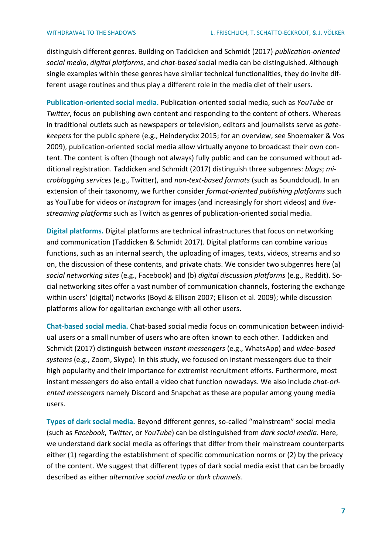distinguish different genres. Building on Taddicken and Schmidt (2017) *publication-oriented social media*, *digital platforms*, and *chat-based* social media can be distinguished. Although single examples within these genres have similar technical functionalities, they do invite different usage routines and thus play a different role in the media diet of their users.

**Publication-oriented social media.** Publication-oriented social media, such as *YouTube* or *Twitter*, focus on publishing own content and responding to the content of others. Whereas in traditional outlets such as newspapers or television, editors and journalists serve as *gatekeepers* for the public sphere (e.g., Heinderyckx 2015; for an overview, see Shoemaker & Vos 2009), publication-oriented social media allow virtually anyone to broadcast their own content. The content is often (though not always) fully public and can be consumed without additional registration. Taddicken and Schmidt (2017) distinguish three subgenres: *blogs*; *microblogging services* (e.g., Twitter), and *non-text-based formats* (such as Soundcloud). In an extension of their taxonomy, we further consider *format-oriented publishing platforms* such as YouTube for videos or *Instagram* for images (and increasingly for short videos) and *livestreaming platforms* such as Twitch as genres of publication-oriented social media.

**Digital platforms.** Digital platforms are technical infrastructures that focus on networking and communication (Taddicken & Schmidt 2017). Digital platforms can combine various functions, such as an internal search, the uploading of images, texts, videos, streams and so on, the discussion of these contents, and private chats. We consider two subgenres here (a) *social networking sites* (e.g., Facebook) and (b) *digital discussion platforms* (e.g., Reddit). Social networking sites offer a vast number of communication channels, fostering the exchange within users' (digital) networks (Boyd & Ellison 2007; Ellison et al. 2009); while discussion platforms allow for egalitarian exchange with all other users.

**Chat-based social media.** Chat-based social media focus on communication between individual users or a small number of users who are often known to each other. Taddicken and Schmidt (2017) distinguish between *instant messengers* (e.g., WhatsApp) and *video-based systems* (e.g., Zoom, Skype). In this study, we focused on instant messengers due to their high popularity and their importance for extremist recruitment efforts. Furthermore, most instant messengers do also entail a video chat function nowadays. We also include *chat-oriented messengers* namely Discord and Snapchat as these are popular among young media users.

**Types of dark social media.** Beyond different genres, so-called "mainstream" social media (such as *Facebook*, *Twitter*, or *YouTube*) can be distinguished from *dark social media*. Here, we understand dark social media as offerings that differ from their mainstream counterparts either (1) regarding the establishment of specific communication norms or (2) by the privacy of the content. We suggest that different types of dark social media exist that can be broadly described as either *alternative social media* or *dark channels*.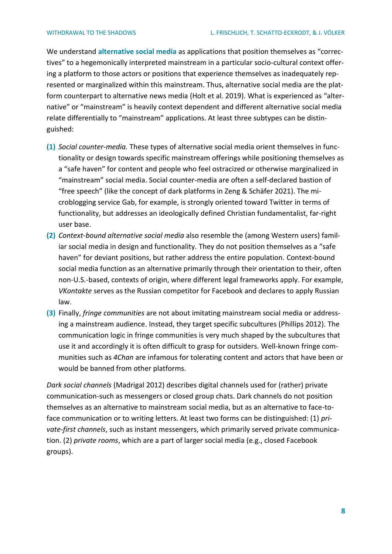We understand **alternative social media** as applications that position themselves as "correctives" to a hegemonically interpreted mainstream in a particular socio-cultural context offering a platform to those actors or positions that experience themselves as inadequately represented or marginalized within this mainstream. Thus, alternative social media are the platform counterpart to alternative news media (Holt et al. 2019). What is experienced as "alternative" or "mainstream" is heavily context dependent and different alternative social media relate differentially to "mainstream" applications. At least three subtypes can be distinguished:

- **(1)** *Social counter-media.* These types of alternative social media orient themselves in functionality or design towards specific mainstream offerings while positioning themselves as a "safe haven" for content and people who feel ostracized or otherwise marginalized in "mainstream" social media. Social counter-media are often a self-declared bastion of "free speech" (like the concept of dark platforms in Zeng & Schäfer 2021). The microblogging service Gab, for example, is strongly oriented toward Twitter in terms of functionality, but addresses an ideologically defined Christian fundamentalist, far-right user base.
- **(2)** *Context-bound alternative social media* also resemble the (among Western users) familiar social media in design and functionality. They do not position themselves as a "safe haven" for deviant positions, but rather address the entire population. Context-bound social media function as an alternative primarily through their orientation to their, often non-U.S.-based, contexts of origin, where different legal frameworks apply. For example, *VKontakte* serves as the Russian competitor for Facebook and declares to apply Russian law.
- **(3)** Finally, *fringe communities* are not about imitating mainstream social media or addressing a mainstream audience. Instead, they target specific subcultures (Phillips 2012). The communication logic in fringe communities is very much shaped by the subcultures that use it and accordingly it is often difficult to grasp for outsiders. Well-known fringe communities such as *4Chan* are infamous for tolerating content and actors that have been or would be banned from other platforms.

*Dark social channels* (Madrigal 2012) describes digital channels used for (rather) private communication-such as messengers or closed group chats. Dark channels do not position themselves as an alternative to mainstream social media, but as an alternative to face-toface communication or to writing letters. At least two forms can be distinguished: (1) *private-first channels*, such as instant messengers, which primarily served private communication. (2) *private rooms*, which are a part of larger social media (e.g., closed Facebook groups).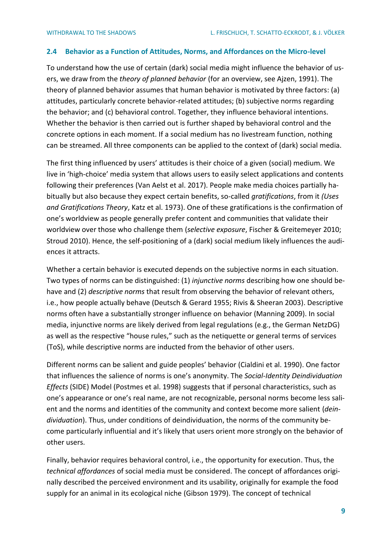#### <span id="page-8-0"></span>**2.4 Behavior as a Function of Attitudes, Norms, and Affordances on the Micro-level**

To understand how the use of certain (dark) social media might influence the behavior of users, we draw from the *theory of planned behavior* (for an overview, see Ajzen, 1991). The theory of planned behavior assumes that human behavior is motivated by three factors: (a) attitudes, particularly concrete behavior-related attitudes; (b) subjective norms regarding the behavior; and (c) behavioral control. Together, they influence behavioral intentions. Whether the behavior is then carried out is further shaped by behavioral control and the concrete options in each moment. If a social medium has no livestream function, nothing can be streamed. All three components can be applied to the context of (dark) social media.

The first thing influenced by users' attitudes is their choice of a given (social) medium. We live in 'high-choice' media system that allows users to easily select applications and contents following their preferences (Van Aelst et al. 2017). People make media choices partially habitually but also because they expect certain benefits, so-called *gratifications*, from it *(Uses and Gratifications Theory*, Katz et al. 1973). One of these gratifications is the confirmation of one's worldview as people generally prefer content and communities that validate their worldview over those who challenge them (*selective exposure*, Fischer & Greitemeyer 2010; Stroud 2010). Hence, the self-positioning of a (dark) social medium likely influences the audiences it attracts.

Whether a certain behavior is executed depends on the subjective norms in each situation. Two types of norms can be distinguished: (1) *injunctive norms* describing how one should behave and (2) *descriptive norms* that result from observing the behavior of relevant others, i.e., how people actually behave (Deutsch & Gerard 1955; Rivis & Sheeran 2003). Descriptive norms often have a substantially stronger influence on behavior (Manning 2009). In social media, injunctive norms are likely derived from legal regulations (e.g., the German NetzDG) as well as the respective "house rules," such as the netiquette or general terms of services (ToS), while descriptive norms are inducted from the behavior of other users.

Different norms can be salient and guide peoples' behavior (Cialdini et al. 1990). One factor that influences the salience of norms is one's anonymity. The *Social-Identity Deindividuation Effects* (SIDE) Model (Postmes et al. 1998) suggests that if personal characteristics, such as one's appearance or one's real name, are not recognizable, personal norms become less salient and the norms and identities of the community and context become more salient (*deindividuation*). Thus, under conditions of deindividuation, the norms of the community become particularly influential and it's likely that users orient more strongly on the behavior of other users.

Finally, behavior requires behavioral control, i.e., the opportunity for execution. Thus, the *technical affordances* of social media must be considered. The concept of affordances originally described the perceived environment and its usability, originally for example the food supply for an animal in its ecological niche (Gibson 1979). The concept of technical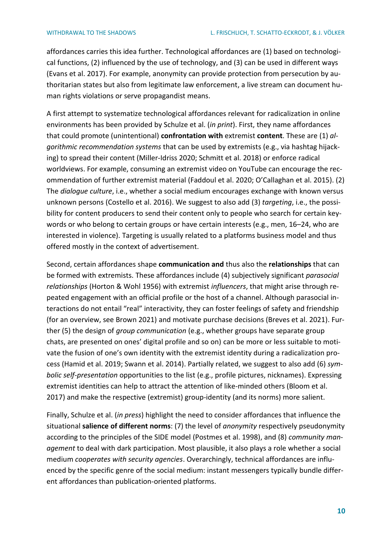affordances carries this idea further. Technological affordances are (1) based on technological functions, (2) influenced by the use of technology, and (3) can be used in different ways (Evans et al. 2017). For example, anonymity can provide protection from persecution by authoritarian states but also from legitimate law enforcement, a live stream can document human rights violations or serve propagandist means.

A first attempt to systematize technological affordances relevant for radicalization in online environments has been provided by Schulze et al. (*in print*). First, they name affordances that could promote (unintentional) **confrontation with** extremist **content**. These are (1) *algorithmic recommendation systems* that can be used by extremists (e.g., via hashtag hijacking) to spread their content (Miller-Idriss 2020; Schmitt et al. 2018) or enforce radical worldviews. For example, consuming an extremist video on YouTube can encourage the recommendation of further extremist material (Faddoul et al. 2020; O'Callaghan et al. 2015). (2) The *dialogue culture*, i.e., whether a social medium encourages exchange with known versus unknown persons (Costello et al. 2016). We suggest to also add (3) *targeting*, i.e., the possibility for content producers to send their content only to people who search for certain keywords or who belong to certain groups or have certain interests (e.g., men, 16–24, who are interested in violence). Targeting is usually related to a platforms business model and thus offered mostly in the context of advertisement.

Second, certain affordances shape **communication and** thus also the **relationships** that can be formed with extremists. These affordances include (4) subjectively significant *parasocial relationships* (Horton & Wohl 1956) with extremist *influencers*, that might arise through repeated engagement with an official profile or the host of a channel. Although parasocial interactions do not entail "real" interactivity, they can foster feelings of safety and friendship (for an overview, see Brown 2021) and motivate purchase decisions (Breves et al. 2021). Further (5) the design of *group communication* (e.g., whether groups have separate group chats, are presented on ones' digital profile and so on) can be more or less suitable to motivate the fusion of one's own identity with the extremist identity during a radicalization process (Hamid et al. 2019; Swann et al. 2014). Partially related, we suggest to also add (6) *symbolic self-presentation* opportunities to the list (e.g., profile pictures, nicknames). Expressing extremist identities can help to attract the attention of like-minded others (Bloom et al. 2017) and make the respective (extremist) group-identity (and its norms) more salient.

Finally, Schulze et al. (*in press*) highlight the need to consider affordances that influence the situational **salience of different norms**: (7) the level of *anonymity* respectively pseudonymity according to the principles of the SIDE model (Postmes et al. 1998), and (8) *community management* to deal with dark participation. Most plausible, it also plays a role whether a social medium *cooperates with security agencies*. Overarchingly, technical affordances are influenced by the specific genre of the social medium: instant messengers typically bundle different affordances than publication-oriented platforms.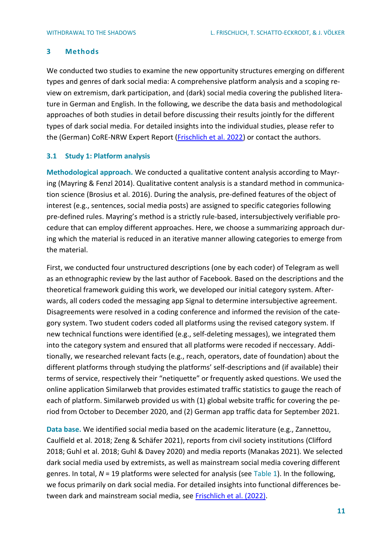# <span id="page-10-0"></span>**3 Methods**

We conducted two studies to examine the new opportunity structures emerging on different types and genres of dark social media: A comprehensive platform analysis and a scoping review on extremism, dark participation, and (dark) social media covering the published literature in German and English. In the following, we describe the data basis and methodological approaches of both studies in detail before discussing their results jointly for the different types of dark social media. For detailed insights into the individual studies, please refer to the (German) CoRE-NRW Expert Report [\(Frischlich et al. 2022\)](https://www.bicc.de/publications/publicationpage/publication/rueckzug-in-die-schatten-die-verlagerung-digitaler-foren-zwischen-fringe-communities-und-dark-so/) or contact the authors.

## <span id="page-10-1"></span>**3.1 Study 1: Platform analysis**

**Methodological approach.** We conducted a qualitative content analysis according to Mayring (Mayring & Fenzl 2014). Qualitative content analysis is a standard method in communication science (Brosius et al. 2016). During the analysis, pre-defined features of the object of interest (e.g., sentences, social media posts) are assigned to specific categories following pre-defined rules. Mayring's method is a strictly rule-based, intersubjectively verifiable procedure that can employ different approaches. Here, we choose a summarizing approach during which the material is reduced in an iterative manner allowing categories to emerge from the material.

First, we conducted four unstructured descriptions (one by each coder) of Telegram as well as an ethnographic review by the last author of Facebook. Based on the descriptions and the theoretical framework guiding this work, we developed our initial category system. Afterwards, all coders coded the messaging app Signal to determine intersubjective agreement. Disagreements were resolved in a coding conference and informed the revision of the category system. Two student coders coded all platforms using the revised category system. If new technical functions were identified (e.g., self-deleting messages), we integrated them into the category system and ensured that all platforms were recoded if neccessary. Additionally, we researched relevant facts (e.g., reach, operators, date of foundation) about the different platforms through studying the platforms' self-descriptions and (if available) their terms of service, respectively their "netiquette" or frequently asked questions. We used the online application Similarweb that provides estimated traffic statistics to gauge the reach of each of platform. Similarweb provided us with (1) global website traffic for covering the period from October to December 2020, and (2) German app traffic data for September 2021.

**Data base.** We identified social media based on the academic literature (e.g., Zannettou, Caulfield et al. 2018; Zeng & Schäfer 2021), reports from civil society institutions (Clifford 2018; Guhl et al. 2018; Guhl & Davey 2020) and media reports (Manakas 2021). We selected dark social media used by extremists, as well as mainstream social media covering different genres. In total, *N* = 19 platforms were selected for analysis (see [Table 1\)](#page-11-0). In the following, we focus primarily on dark social media. For detailed insights into functional differences between dark and mainstream social media, see [Frischlich et al. \(2022\).](https://www.bicc.de/publications/publicationpage/publication/rueckzug-in-die-schatten-die-verlagerung-digitaler-foren-zwischen-fringe-communities-und-dark-so/)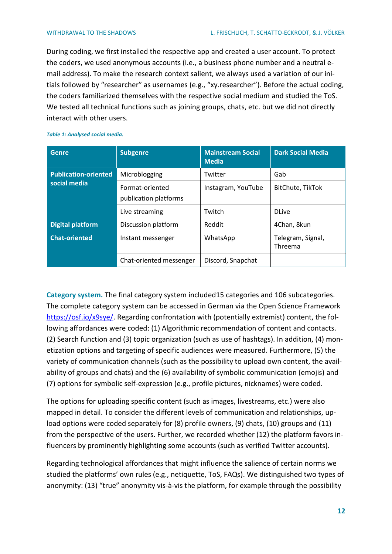During coding, we first installed the respective app and created a user account. To protect the coders, we used anonymous accounts (i.e., a business phone number and a neutral email address). To make the research context salient, we always used a variation of our initials followed by "researcher" as usernames (e.g., "xy.researcher"). Before the actual coding, the coders familiarized themselves with the respective social medium and studied the ToS. We tested all technical functions such as joining groups, chats, etc. but we did not directly interact with other users.

| <b>Subgenre</b><br>Genre    |                                          | <b>Mainstream Social</b><br><b>Media</b> | <b>Dark Social Media</b>     |  |
|-----------------------------|------------------------------------------|------------------------------------------|------------------------------|--|
| <b>Publication-oriented</b> | Microblogging                            | Twitter                                  | Gab                          |  |
| social media                | Format-oriented<br>publication platforms | Instagram, YouTube                       | BitChute, TikTok             |  |
|                             | Live streaming                           | Twitch                                   | <b>DLive</b>                 |  |
| <b>Digital platform</b>     | Discussion platform                      | Reddit                                   | 4Chan, 8kun                  |  |
| <b>Chat-oriented</b>        | Instant messenger                        | WhatsApp                                 | Telegram, Signal,<br>Threema |  |
|                             | Chat-oriented messenger                  | Discord, Snapchat                        |                              |  |

#### <span id="page-11-0"></span>*Table 1: Analysed social media.*

**Category system.** The final category system included15 categories and 106 subcategories. The complete category system can be accessed in German via the Open Science Framework [https://osf.io/x9sye/.](https://osf.io/x9sye/) Regarding confrontation with (potentially extremist) content, the following affordances were coded: (1) Algorithmic recommendation of content and contacts. (2) Search function and (3) topic organization (such as use of hashtags). In addition, (4) monetization options and targeting of specific audiences were measured. Furthermore, (5) the variety of communication channels (such as the possibility to upload own content, the availability of groups and chats) and the (6) availability of symbolic communication (emojis) and (7) options for symbolic self-expression (e.g., profile pictures, nicknames) were coded.

The options for uploading specific content (such as images, livestreams, etc.) were also mapped in detail. To consider the different levels of communication and relationships, upload options were coded separately for (8) profile owners, (9) chats, (10) groups and (11) from the perspective of the users. Further, we recorded whether (12) the platform favors influencers by prominently highlighting some accounts (such as verified Twitter accounts).

Regarding technological affordances that might influence the salience of certain norms we studied the platforms' own rules (e.g., netiquette, ToS, FAQs). We distinguished two types of anonymity: (13) "true" anonymity vis-à-vis the platform, for example through the possibility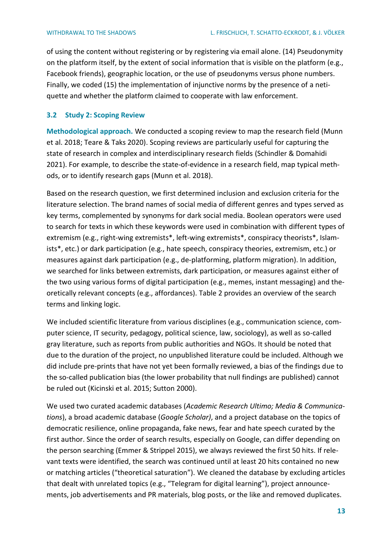of using the content without registering or by registering via email alone. (14) Pseudonymity on the platform itself, by the extent of social information that is visible on the platform (e.g., Facebook friends), geographic location, or the use of pseudonyms versus phone numbers. Finally, we coded (15) the implementation of injunctive norms by the presence of a netiquette and whether the platform claimed to cooperate with law enforcement.

# <span id="page-12-0"></span>**3.2 Study 2: Scoping Review**

**Methodological approach.** We conducted a scoping review to map the research field (Munn et al. 2018; Teare & Taks 2020). Scoping reviews are particularly useful for capturing the state of research in complex and interdisciplinary research fields (Schindler & Domahidi 2021). For example, to describe the state-of-evidence in a research field, map typical methods, or to identify research gaps (Munn et al. 2018).

Based on the research question, we first determined inclusion and exclusion criteria for the literature selection. The brand names of social media of different genres and types served as key terms, complemented by synonyms for dark social media. Boolean operators were used to search for texts in which these keywords were used in combination with different types of extremism (e.g., right-wing extremists\*, left-wing extremists\*, conspiracy theorists\*, Islamists\*, etc.) or dark participation (e.g., hate speech, conspiracy theories, extremism, etc.) or measures against dark participation (e.g., de-platforming, platform migration). In addition, we searched for links between extremists, dark participation, or measures against either of the two using various forms of digital participation (e.g., memes, instant messaging) and theoretically relevant concepts (e.g., affordances). [Table 2](#page-13-0) provides an overview of the search terms and linking logic.

We included scientific literature from various disciplines (e.g., communication science, computer science, IT security, pedagogy, political science, law, sociology), as well as so-called gray literature, such as reports from public authorities and NGOs. It should be noted that due to the duration of the project, no unpublished literature could be included. Although we did include pre-prints that have not yet been formally reviewed, a bias of the findings due to the so-called publication bias (the lower probability that null findings are published) cannot be ruled out (Kicinski et al. 2015; Sutton 2000).

We used two curated academic databases (*Academic Research Ultimo; Media & Communications*), a broad academic database (*Google Scholar)*, and a project database on the topics of democratic resilience, online propaganda, fake news, fear and hate speech curated by the first author. Since the order of search results, especially on Google, can differ depending on the person searching (Emmer & Strippel 2015), we always reviewed the first 50 hits. If relevant texts were identified, the search was continued until at least 20 hits contained no new or matching articles ("theoretical saturation"). We cleaned the database by excluding articles that dealt with unrelated topics (e.g., "Telegram for digital learning"), project announcements, job advertisements and PR materials, blog posts, or the like and removed duplicates.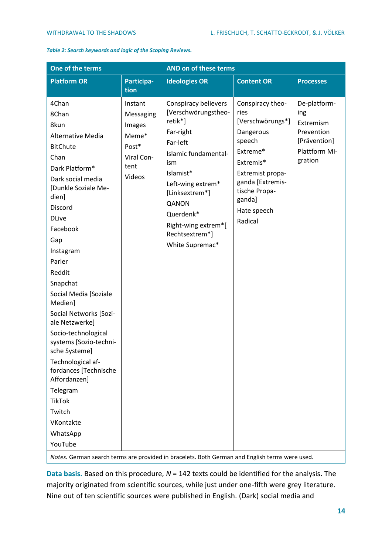<span id="page-13-0"></span>*Table 2: Search keywords and logic of the Scoping Reviews.*

| One of the terms                                                                                                                                                                                                                                                                                                                                                                                                                                                                                                                           |                                                                                  | AND on of these terms                                                                                                                                                                                                                                |                                                                                                                                                                                           |                                                                                            |  |
|--------------------------------------------------------------------------------------------------------------------------------------------------------------------------------------------------------------------------------------------------------------------------------------------------------------------------------------------------------------------------------------------------------------------------------------------------------------------------------------------------------------------------------------------|----------------------------------------------------------------------------------|------------------------------------------------------------------------------------------------------------------------------------------------------------------------------------------------------------------------------------------------------|-------------------------------------------------------------------------------------------------------------------------------------------------------------------------------------------|--------------------------------------------------------------------------------------------|--|
| <b>Platform OR</b>                                                                                                                                                                                                                                                                                                                                                                                                                                                                                                                         | Participa-<br>tion                                                               | <b>Ideologies OR</b>                                                                                                                                                                                                                                 | <b>Content OR</b>                                                                                                                                                                         | <b>Processes</b>                                                                           |  |
| 4Chan<br>8Chan<br>8kun<br><b>Alternative Media</b><br><b>BitChute</b><br>Chan<br>Dark Platform*<br>Dark social media<br>[Dunkle Soziale Me-<br>dien]<br>Discord<br><b>DLive</b><br>Facebook<br>Gap<br>Instagram<br>Parler<br>Reddit<br>Snapchat<br>Social Media [Soziale<br>Medien]<br>Social Networks [Sozi-<br>ale Netzwerke]<br>Socio-technological<br>systems [Sozio-techni-<br>sche Systeme]<br>Technological af-<br>fordances [Technische<br>Affordanzen]<br>Telegram<br><b>TikTok</b><br>Twitch<br>VKontakte<br>WhatsApp<br>YouTube | Instant<br>Messaging<br>Images<br>Meme*<br>Post*<br>Viral Con-<br>tent<br>Videos | Conspiracy believers<br>[Verschwörungstheo-<br>retik*]<br>Far-right<br>Far-left<br>Islamic fundamental-<br>ism<br>Islamist*<br>Left-wing extrem*<br>[Linksextrem*]<br>QANON<br>Querdenk*<br>Right-wing extrem*[<br>Rechtsextrem*]<br>White Supremac* | Conspiracy theo-<br>ries<br>[Verschwörungs*]<br>Dangerous<br>speech<br>Extreme*<br>Extremis*<br>Extremist propa-<br>ganda [Extremis-<br>tische Propa-<br>ganda]<br>Hate speech<br>Radical | De-platform-<br>ing<br>Extremism<br>Prevention<br>[Prävention]<br>Plattform Mi-<br>gration |  |
|                                                                                                                                                                                                                                                                                                                                                                                                                                                                                                                                            |                                                                                  |                                                                                                                                                                                                                                                      |                                                                                                                                                                                           |                                                                                            |  |

*Notes.* German search terms are provided in bracelets. Both German and English terms were used.

**Data basis.** Based on this procedure, *N* = 142 texts could be identified for the analysis. The majority originated from scientific sources, while just under one-fifth were grey literature. Nine out of ten scientific sources were published in English. (Dark) social media and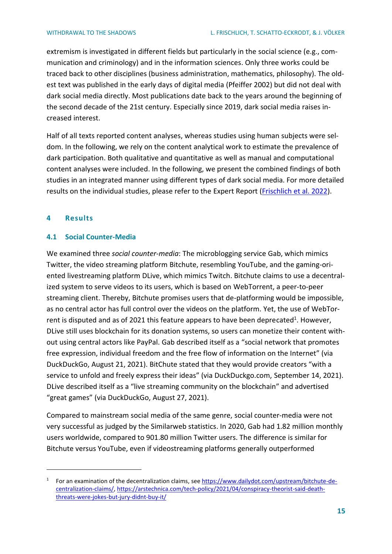extremism is investigated in different fields but particularly in the social science (e.g., communication and criminology) and in the information sciences. Only three works could be traced back to other disciplines (business administration, mathematics, philosophy). The oldest text was published in the early days of digital media (Pfeiffer 2002) but did not deal with dark social media directly. Most publications date back to the years around the beginning of the second decade of the 21st century. Especially since 2019, dark social media raises increased interest.

Half of all texts reported content analyses, whereas studies using human subjects were seldom. In the following, we rely on the content analytical work to estimate the prevalence of dark participation. Both qualitative and quantitative as well as manual and computational content analyses were included. In the following, we present the combined findings of both studies in an integrated manner using different types of dark social media. For more detailed results on the individual studies, please refer to the Expert Report (Frischlich [et al. 2022\)](https://www.bicc.de/publications/publicationpage/publication/rueckzug-in-die-schatten-die-verlagerung-digitaler-foren-zwischen-fringe-communities-und-dark-so/).

# <span id="page-14-0"></span>**4 Results**

# <span id="page-14-1"></span>**4.1 Social Counter-Media**

We examined three *social counter-media*: The microblogging service Gab, which mimics Twitter, the video streaming platform Bitchute, resembling YouTube, and the gaming-oriented livestreaming platform DLive, which mimics Twitch. Bitchute claims to use a decentralized system to serve videos to its users, which is based on WebTorrent, a peer-to-peer streaming client. Thereby, Bitchute promises users that de-platforming would be impossible, as no central actor has full control over the videos on the platform. Yet, the use of WebTorrent is disputed and as of 2021 this feature appears to have been deprecated<sup>1</sup>. However, DLive still uses blockchain for its donation systems, so users can monetize their content without using central actors like PayPal. Gab described itself as a "social network that promotes free expression, individual freedom and the free flow of information on the Internet" (via DuckDuckGo, August 21, 2021). BitChute stated that they would provide creators "with a service to unfold and freely express their ideas" (via DuckDuckgo.com, September 14, 2021). DLive described itself as a "live streaming community on the blockchain" and advertised "great games" (via DuckDuckGo, August 27, 2021).

Compared to mainstream social media of the same genre, social counter-media were not very successful as judged by the Similarweb statistics. In 2020, Gab had 1.82 million monthly users worldwide, compared to 901.80 million Twitter users. The difference is similar for Bitchute versus YouTube, even if videostreaming platforms generally outperformed

<sup>&</sup>lt;sup>1</sup> For an examination of the decentralization claims, se[e https://www.dailydot.com/upstream/bitchute-de](https://www.dailydot.com/upstream/bitchute-decentralization-claims/)[centralization-claims/,](https://www.dailydot.com/upstream/bitchute-decentralization-claims/) [https://arstechnica.com/tech-policy/2021/04/conspiracy-theorist-said-death](https://arstechnica.com/tech-policy/2021/04/conspiracy-theorist-said-death-threats-were-jokes-but-jury-didnt-buy-it/)[threats-were-jokes-but-jury-didnt-buy-it/](https://arstechnica.com/tech-policy/2021/04/conspiracy-theorist-said-death-threats-were-jokes-but-jury-didnt-buy-it/)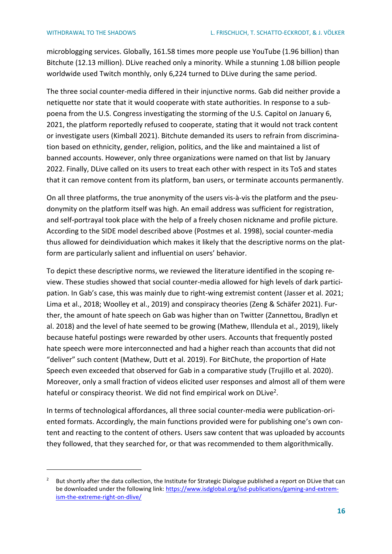microblogging services. Globally, 161.58 times more people use YouTube (1.96 billion) than Bitchute (12.13 million). DLive reached only a minority. While a stunning 1.08 billion people worldwide used Twitch monthly, only 6,224 turned to DLive during the same period.

The three social counter-media differed in their injunctive norms. Gab did neither provide a netiquette nor state that it would cooperate with state authorities. In response to a subpoena from the U.S. Congress investigating the storming of the U.S. Capitol on January 6, 2021, the platform reportedly refused to cooperate, stating that it would not track content or investigate users (Kimball 2021). Bitchute demanded its users to refrain from discrimination based on ethnicity, gender, religion, politics, and the like and maintained a list of banned accounts. However, only three organizations were named on that list by January 2022. Finally, DLive called on its users to treat each other with respect in its ToS and states that it can remove content from its platform, ban users, or terminate accounts permanently.

On all three platforms, the true anonymity of the users vis-à-vis the platform and the pseudonymity on the platform itself was high. An email address was sufficient for registration, and self-portrayal took place with the help of a freely chosen nickname and profile picture. According to the SIDE model described above (Postmes et al. 1998), social counter-media thus allowed for deindividuation which makes it likely that the descriptive norms on the platform are particularly salient and influential on users' behavior.

To depict these descriptive norms, we reviewed the literature identified in the scoping review. These studies showed that social counter-media allowed for high levels of dark participation. In Gab's case, this was mainly due to right-wing extremist content (Jasser et al. 2021; Lima et al., 2018; Woolley et al., 2019) and conspiracy theories (Zeng & Schäfer 2021). Further, the amount of hate speech on Gab was higher than on Twitter (Zannettou, Bradlyn et al. 2018) and the level of hate seemed to be growing (Mathew, Illendula et al., 2019), likely because hateful postings were rewarded by other users. Accounts that frequently posted hate speech were more interconnected and had a higher reach than accounts that did not "deliver" such content (Mathew, Dutt et al. 2019). For BitChute, the proportion of Hate Speech even exceeded that observed for Gab in a comparative study (Trujillo et al. 2020). Moreover, only a small fraction of videos elicited user responses and almost all of them were hateful or conspiracy theorist. We did not find empirical work on DLive<sup>2</sup>.

In terms of technological affordances, all three social counter-media were publication-oriented formats. Accordingly, the main functions provided were for publishing one's own content and reacting to the content of others. Users saw content that was uploaded by accounts they followed, that they searched for, or that was recommended to them algorithmically.

<sup>&</sup>lt;sup>2</sup> But shortly after the data collection, the Institute for Strategic Dialogue published a report on DLive that can be downloaded under the following link: [https://www.isdglobal.org/isd-publications/gaming-and-extrem](https://www.isdglobal.org/isd-publications/gaming-and-extremism-the-extreme-right-on-dlive/)[ism-the-extreme-right-on-dlive/](https://www.isdglobal.org/isd-publications/gaming-and-extremism-the-extreme-right-on-dlive/)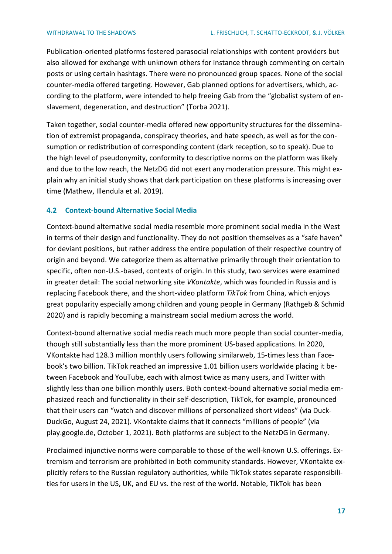Publication-oriented platforms fostered parasocial relationships with content providers but also allowed for exchange with unknown others for instance through commenting on certain posts or using certain hashtags. There were no pronounced group spaces. None of the social counter-media offered targeting. However, Gab planned options for advertisers, which, according to the platform, were intended to help freeing Gab from the "globalist system of enslavement, degeneration, and destruction" (Torba 2021).

Taken together, social counter-media offered new opportunity structures for the dissemination of extremist propaganda, conspiracy theories, and hate speech, as well as for the consumption or redistribution of corresponding content (dark reception, so to speak). Due to the high level of pseudonymity, conformity to descriptive norms on the platform was likely and due to the low reach, the NetzDG did not exert any moderation pressure. This might explain why an initial study shows that dark participation on these platforms is increasing over time (Mathew, Illendula et al. 2019).

# <span id="page-16-0"></span>**4.2 Context-bound Alternative Social Media**

Context-bound alternative social media resemble more prominent social media in the West in terms of their design and functionality. They do not position themselves as a "safe haven" for deviant positions, but rather address the entire population of their respective country of origin and beyond. We categorize them as alternative primarily through their orientation to specific, often non-U.S.-based, contexts of origin. In this study, two services were examined in greater detail: The social networking site *VKontakte*, which was founded in Russia and is replacing Facebook there, and the short-video platform *TikTok* from China, which enjoys great popularity especially among children and young people in Germany (Rathgeb & Schmid 2020) and is rapidly becoming a mainstream social medium across the world.

Context-bound alternative social media reach much more people than social counter-media, though still substantially less than the more prominent US-based applications. In 2020, VKontakte had 128.3 million monthly users following similarweb, 15-times less than Facebook's two billion. TikTok reached an impressive 1.01 billion users worldwide placing it between Facebook and YouTube, each with almost twice as many users, and Twitter with slightly less than one billion monthly users. Both context-bound alternative social media emphasized reach and functionality in their self-description, TikTok, for example, pronounced that their users can "watch and discover millions of personalized short videos" (via Duck-DuckGo, August 24, 2021). VKontakte claims that it connects "millions of people" (via play.google.de, October 1, 2021). Both platforms are subject to the NetzDG in Germany.

Proclaimed injunctive norms were comparable to those of the well-known U.S. offerings. Extremism and terrorism are prohibited in both community standards. However, VKontakte explicitly refers to the Russian regulatory authorities, while TikTok states separate responsibilities for users in the US, UK, and EU vs. the rest of the world. Notable, TikTok has been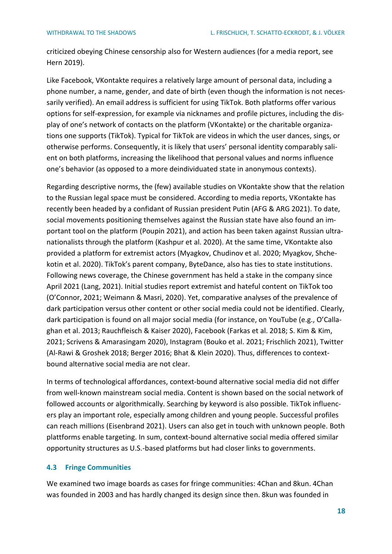criticized obeying Chinese censorship also for Western audiences (for a media report, see Hern 2019).

Like Facebook, VKontakte requires a relatively large amount of personal data, including a phone number, a name, gender, and date of birth (even though the information is not necessarily verified). An email address is sufficient for using TikTok. Both platforms offer various options for self-expression, for example via nicknames and profile pictures, including the display of one's network of contacts on the platform (VKontakte) or the charitable organizations one supports (TikTok). Typical for TikTok are videos in which the user dances, sings, or otherwise performs. Consequently, it is likely that users' personal identity comparably salient on both platforms, increasing the likelihood that personal values and norms influence one's behavior (as opposed to a more deindividuated state in anonymous contexts).

Regarding descriptive norms, the (few) available studies on VKontakte show that the relation to the Russian legal space must be considered. According to media reports, VKontakte has recently been headed by a confidant of Russian president Putin (AFG & ARG 2021). To date, social movements positioning themselves against the Russian state have also found an important tool on the platform (Poupin 2021), and action has been taken against Russian ultranationalists through the platform (Kashpur et al. 2020). At the same time, VKontakte also provided a platform for extremist actors (Myagkov, Chudinov et al. 2020; Myagkov, Shchekotin et al. 2020). TikTok's parent company, ByteDance, also has ties to state institutions. Following news coverage, the Chinese government has held a stake in the company since April 2021 (Lang, 2021). Initial studies report extremist and hateful content on TikTok too (O'Connor, 2021; Weimann & Masri, 2020). Yet, comparative analyses of the prevalence of dark participation versus other content or other social media could not be identified. Clearly, dark participation is found on all major social media (for instance, on YouTube (e.g., O'Callaghan et al. 2013; Rauchfleisch & Kaiser 2020), Facebook (Farkas et al. 2018; S. Kim & Kim, 2021; Scrivens & Amarasingam 2020), Instagram (Bouko et al. 2021; Frischlich 2021), Twitter (Al-Rawi & Groshek 2018; Berger 2016; Bhat & Klein 2020). Thus, differences to contextbound alternative social media are not clear.

In terms of technological affordances, context-bound alternative social media did not differ from well-known mainstream social media. Content is shown based on the social network of followed accounts or algorithmically. Searching by keyword is also possible. TikTok influencers play an important role, especially among children and young people. Successful profiles can reach millions (Eisenbrand 2021). Users can also get in touch with unknown people. Both plattforms enable targeting. In sum, context-bound alternative social media offered similar opportunity structures as U.S.-based platforms but had closer links to governments.

## <span id="page-17-0"></span>**4.3 Fringe Communities**

We examined two image boards as cases for fringe communities: 4Chan and 8kun. 4Chan was founded in 2003 and has hardly changed its design since then. 8kun was founded in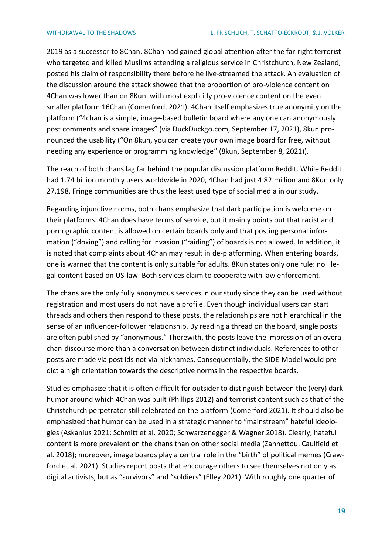2019 as a successor to 8Chan. 8Chan had gained global attention after the far-right terrorist who targeted and killed Muslims attending a religious service in Christchurch, New Zealand, posted his claim of responsibility there before he live-streamed the attack. An evaluation of the discussion around the attack showed that the proportion of pro-violence content on 4Chan was lower than on 8Kun, with most explicitly pro-violence content on the even smaller platform 16Chan (Comerford, 2021). 4Chan itself emphasizes true anonymity on the platform ("4chan is a simple, image-based bulletin board where any one can anonymously post comments and share images" (via DuckDuckgo.com, September 17, 2021), 8kun pronounced the usability ("On 8kun, you can create your own image board for free, without needing any experience or programming knowledge" (8kun, September 8, 2021)).

The reach of both chans lag far behind the popular discussion platform Reddit. While Reddit had 1.74 billion monthly users worldwide in 2020, 4Chan had just 4.82 million and 8Kun only 27.198. Fringe communities are thus the least used type of social media in our study.

Regarding injunctive norms, both chans emphasize that dark participation is welcome on their platforms. 4Chan does have terms of service, but it mainly points out that racist and pornographic content is allowed on certain boards only and that posting personal information ("doxing") and calling for invasion ("raiding") of boards is not allowed. In addition, it is noted that complaints about 4Chan may result in de-platforming. When entering boards, one is warned that the content is only suitable for adults. 8Kun states only one rule: no illegal content based on US-law. Both services claim to cooperate with law enforcement.

The chans are the only fully anonymous services in our study since they can be used without registration and most users do not have a profile. Even though individual users can start threads and others then respond to these posts, the relationships are not hierarchical in the sense of an influencer-follower relationship. By reading a thread on the board, single posts are often published by "anonymous." Therewith, the posts leave the impression of an overall chan-discourse more than a conversation between distinct individuals. References to other posts are made via post ids not via nicknames. Consequentially, the SIDE-Model would predict a high orientation towards the descriptive norms in the respective boards.

Studies emphasize that it is often difficult for outsider to distinguish between the (very) dark humor around which 4Chan was built (Phillips 2012) and terrorist content such as that of the Christchurch perpetrator still celebrated on the platform (Comerford 2021). It should also be emphasized that humor can be used in a strategic manner to "mainstream" hateful ideologies (Askanius 2021; Schmitt et al. 2020; Schwarzenegger & Wagner 2018). Clearly, hateful content is more prevalent on the chans than on other social media (Zannettou, Caulfield et al. 2018); moreover, image boards play a central role in the "birth" of political memes (Crawford et al. 2021). Studies report posts that encourage others to see themselves not only as digital activists, but as "survivors" and "soldiers" (Elley 2021). With roughly one quarter of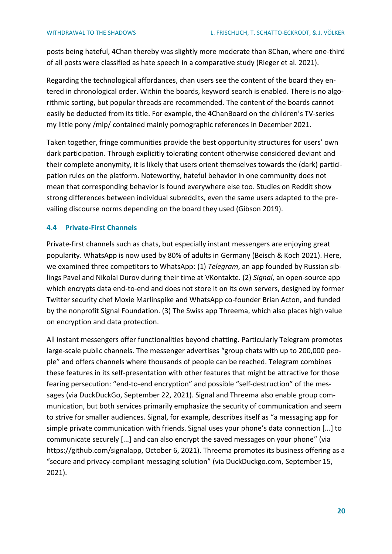posts being hateful, 4Chan thereby was slightly more moderate than 8Chan, where one-third of all posts were classified as hate speech in a comparative study (Rieger et al. 2021).

Regarding the technological affordances, chan users see the content of the board they entered in chronological order. Within the boards, keyword search is enabled. There is no algorithmic sorting, but popular threads are recommended. The content of the boards cannot easily be deducted from its title. For example, the 4ChanBoard on the children's TV-series my little pony /mlp/ contained mainly pornographic references in December 2021.

Taken together, fringe communities provide the best opportunity structures for users' own dark participation. Through explicitly tolerating content otherwise considered deviant and their complete anonymity, it is likely that users orient themselves towards the (dark) participation rules on the platform. Noteworthy, hateful behavior in one community does not mean that corresponding behavior is found everywhere else too. Studies on Reddit show strong differences between individual subreddits, even the same users adapted to the prevailing discourse norms depending on the board they used (Gibson 2019).

## <span id="page-19-0"></span>**4.4 Private-First Channels**

Private-first channels such as chats, but especially instant messengers are enjoying great popularity. WhatsApp is now used by 80% of adults in Germany (Beisch & Koch 2021). Here, we examined three competitors to WhatsApp: (1) *Telegram*, an app founded by Russian siblings Pavel and Nikolai Durov during their time at VKontakte. (2) *Signal*, an open-source app which encrypts data end-to-end and does not store it on its own servers, designed by former Twitter security chef Moxie Marlinspike and WhatsApp co-founder Brian Acton, and funded by the nonprofit Signal Foundation. (3) The Swiss app Threema, which also places high value on encryption and data protection.

All instant messengers offer functionalities beyond chatting. Particularly Telegram promotes large-scale public channels. The messenger advertises "group chats with up to 200,000 people" and offers channels where thousands of people can be reached. Telegram combines these features in its self-presentation with other features that might be attractive for those fearing persecution: "end-to-end encryption" and possible "self-destruction" of the messages (via DuckDuckGo, September 22, 2021). Signal and Threema also enable group communication, but both services primarily emphasize the security of communication and seem to strive for smaller audiences. Signal, for example, describes itself as "a messaging app for simple private communication with friends. Signal uses your phone's data connection [...] to communicate securely [...] and can also encrypt the saved messages on your phone" (via https://github.com/signalapp, October 6, 2021). Threema promotes its business offering as a "secure and privacy-compliant messaging solution" (via DuckDuckgo.com, September 15, 2021).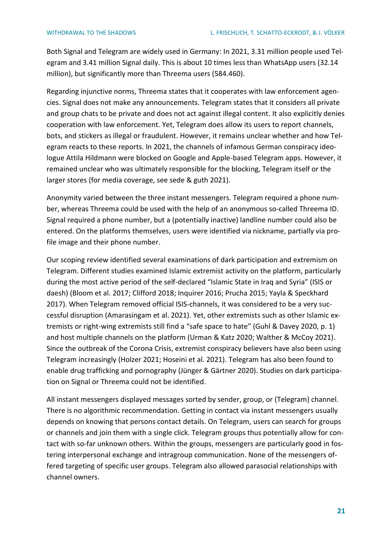Both Signal and Telegram are widely used in Germany: In 2021, 3.31 million people used Telegram and 3.41 million Signal daily. This is about 10 times less than WhatsApp users (32.14 million), but significantly more than Threema users (584.460).

Regarding injunctive norms, Threema states that it cooperates with law enforcement agencies. Signal does not make any announcements. Telegram states that it considers all private and group chats to be private and does not act against illegal content. It also explicitly denies cooperation with law enforcement. Yet, Telegram does allow its users to report channels, bots, and stickers as illegal or fraudulent. However, it remains unclear whether and how Telegram reacts to these reports. In 2021, the channels of infamous German conspiracy ideologue Attila Hildmann were blocked on Google and Apple-based Telegram apps. However, it remained unclear who was ultimately responsible for the blocking, Telegram itself or the larger stores (for media coverage, see sede & guth 2021).

Anonymity varied between the three instant messengers. Telegram required a phone number, whereas Threema could be used with the help of an anonymous so-called Threema ID. Signal required a phone number, but a (potentially inactive) landline number could also be entered. On the platforms themselves, users were identified via nickname, partially via profile image and their phone number.

Our scoping review identified several examinations of dark participation and extremism on Telegram. Different studies examined Islamic extremist activity on the platform, particularly during the most active period of the self-declared "Islamic State in Iraq and Syria" (ISIS or daesh) (Bloom et al. 2017; Clifford 2018; Inquirer 2016; Prucha 2015; Yayla & Speckhard 2017). When Telegram removed official ISIS-channels, it was considered to be a very successful disruption (Amarasingam et al. 2021). Yet, other extremists such as other Islamic extremists or right-wing extremists still find a "safe space to hate" (Guhl & Davey 2020, p. 1) and host multiple channels on the platform (Urman & Katz 2020; Walther & McCoy 2021). Since the outbreak of the Corona Crisis, extremist conspiracy believers have also been using Telegram increasingly (Holzer 2021; Hoseini et al. 2021). Telegram has also been found to enable drug trafficking and pornography (Jünger & Gärtner 2020). Studies on dark participation on Signal or Threema could not be identified.

All instant messengers displayed messages sorted by sender, group, or (Telegram) channel. There is no algorithmic recommendation. Getting in contact via instant messengers usually depends on knowing that persons contact details. On Telegram, users can search for groups or channels and join them with a single click. Telegram groups thus potentially allow for contact with so-far unknown others. Within the groups, messengers are particularly good in fostering interpersonal exchange and intragroup communication. None of the messengers offered targeting of specific user groups. Telegram also allowed parasocial relationships with channel owners.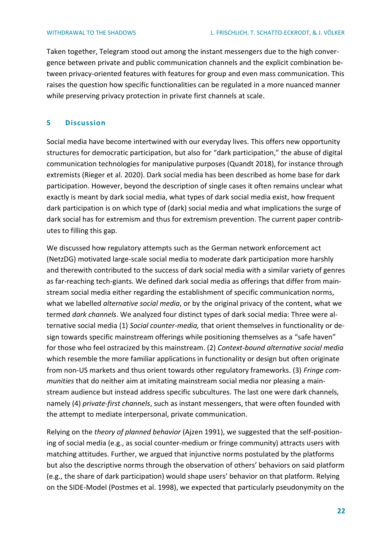Taken together, Telegram stood out among the instant messengers due to the high convergence between private and public communication channels and the explicit combination between privacy-oriented features with features for group and even mass communication. This raises the question how specific functionalities can be regulated in a more nuanced manner while preserving privacy protection in private first channels at scale.

# <span id="page-21-0"></span>**5 Discussion**

Social media have become intertwined with our everyday lives. This offers new opportunity structures for democratic participation, but also for "dark participation," the abuse of digital communication technologies for manipulative purposes (Quandt 2018), for instance through extremists (Rieger et al. 2020). Dark social media has been described as home base for dark participation. However, beyond the description of single cases it often remains unclear what exactly is meant by dark social media, what types of dark social media exist, how frequent dark participation is on which type of (dark) social media and what implications the surge of dark social has for extremism and thus for extremism prevention. The current paper contributes to filling this gap.

We discussed how regulatory attempts such as the German network enforcement act (NetzDG) motivated large-scale social media to moderate dark participation more harshly and therewith contributed to the success of dark social media with a similar variety of genres as far-reaching tech-giants. We defined dark social media as offerings that differ from mainstream social media either regarding the establishment of specific communication norms, what we labelled *alternative social media*, or by the original privacy of the content, what we termed *dark channels*. We analyzed four distinct types of dark social media: Three were alternative social media (1) *Social counter-media,* that orient themselves in functionality or design towards specific mainstream offerings while positioning themselves as a "safe haven" for those who feel ostracized by this mainstream. (2) *Context-bound alternative social media* which resemble the more familiar applications in functionality or design but often originate from non-US markets and thus orient towards other regulatory frameworks. (3) *Fringe communities* that do neither aim at imitating mainstream social media nor pleasing a mainstream audience but instead address specific subcultures. The last one were dark channels, namely (4) *private-first channels*, such as instant messengers, that were often founded with the attempt to mediate interpersonal, private communication.

Relying on the *theory of planned behavior* (Ajzen 1991), we suggested that the self-positioning of social media (e.g., as social counter-medium or fringe community) attracts users with matching attitudes. Further, we argued that injunctive norms postulated by the platforms but also the descriptive norms through the observation of others' behaviors on said platform (e.g., the share of dark participation) would shape users' behavior on that platform. Relying on the SIDE-Model (Postmes et al. 1998), we expected that particularly pseudonymity on the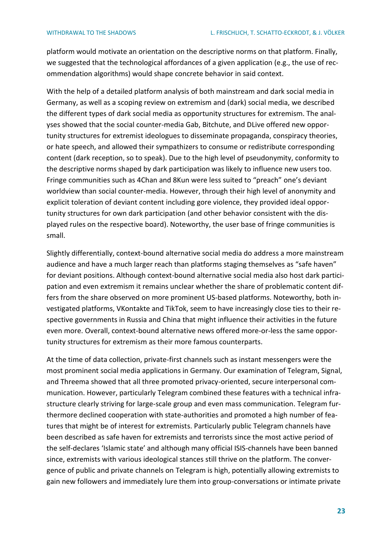platform would motivate an orientation on the descriptive norms on that platform. Finally, we suggested that the technological affordances of a given application (e.g., the use of recommendation algorithms) would shape concrete behavior in said context.

With the help of a detailed platform analysis of both mainstream and dark social media in Germany, as well as a scoping review on extremism and (dark) social media, we described the different types of dark social media as opportunity structures for extremism. The analyses showed that the social counter-media Gab, Bitchute, and DLive offered new opportunity structures for extremist ideologues to disseminate propaganda, conspiracy theories, or hate speech, and allowed their sympathizers to consume or redistribute corresponding content (dark reception, so to speak). Due to the high level of pseudonymity, conformity to the descriptive norms shaped by dark participation was likely to influence new users too. Fringe communities such as 4Chan and 8Kun were less suited to "preach" one's deviant worldview than social counter-media. However, through their high level of anonymity and explicit toleration of deviant content including gore violence, they provided ideal opportunity structures for own dark participation (and other behavior consistent with the displayed rules on the respective board). Noteworthy, the user base of fringe communities is small.

Slightly differentially, context-bound alternative social media do address a more mainstream audience and have a much larger reach than platforms staging themselves as "safe haven" for deviant positions. Although context-bound alternative social media also host dark participation and even extremism it remains unclear whether the share of problematic content differs from the share observed on more prominent US-based platforms. Noteworthy, both investigated platforms, VKontakte and TikTok, seem to have increasingly close ties to their respective governments in Russia and China that might influence their activities in the future even more. Overall, context-bound alternative news offered more-or-less the same opportunity structures for extremism as their more famous counterparts.

At the time of data collection, private-first channels such as instant messengers were the most prominent social media applications in Germany. Our examination of Telegram, Signal, and Threema showed that all three promoted privacy-oriented, secure interpersonal communication. However, particularly Telegram combined these features with a technical infrastructure clearly striving for large-scale group and even mass communication. Telegram furthermore declined cooperation with state-authorities and promoted a high number of features that might be of interest for extremists. Particularly public Telegram channels have been described as safe haven for extremists and terrorists since the most active period of the self-declares 'Islamic state' and although many official ISIS-channels have been banned since, extremists with various ideological stances still thrive on the platform. The convergence of public and private channels on Telegram is high, potentially allowing extremists to gain new followers and immediately lure them into group-conversations or intimate private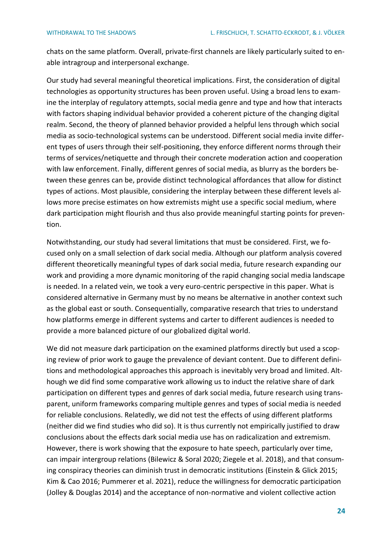chats on the same platform. Overall, private-first channels are likely particularly suited to enable intragroup and interpersonal exchange.

Our study had several meaningful theoretical implications. First, the consideration of digital technologies as opportunity structures has been proven useful. Using a broad lens to examine the interplay of regulatory attempts, social media genre and type and how that interacts with factors shaping individual behavior provided a coherent picture of the changing digital realm. Second, the theory of planned behavior provided a helpful lens through which social media as socio-technological systems can be understood. Different social media invite different types of users through their self-positioning, they enforce different norms through their terms of services/netiquette and through their concrete moderation action and cooperation with law enforcement. Finally, different genres of social media, as blurry as the borders between these genres can be, provide distinct technological affordances that allow for distinct types of actions. Most plausible, considering the interplay between these different levels allows more precise estimates on how extremists might use a specific social medium, where dark participation might flourish and thus also provide meaningful starting points for prevention.

Notwithstanding, our study had several limitations that must be considered. First, we focused only on a small selection of dark social media. Although our platform analysis covered different theoretically meaningful types of dark social media, future research expanding our work and providing a more dynamic monitoring of the rapid changing social media landscape is needed. In a related vein, we took a very euro-centric perspective in this paper. What is considered alternative in Germany must by no means be alternative in another context such as the global east or south. Consequentially, comparative research that tries to understand how platforms emerge in different systems and carter to different audiences is needed to provide a more balanced picture of our globalized digital world.

We did not measure dark participation on the examined platforms directly but used a scoping review of prior work to gauge the prevalence of deviant content. Due to different definitions and methodological approaches this approach is inevitably very broad and limited. Although we did find some comparative work allowing us to induct the relative share of dark participation on different types and genres of dark social media, future research using transparent, uniform frameworks comparing multiple genres and types of social media is needed for reliable conclusions. Relatedly, we did not test the effects of using different platforms (neither did we find studies who did so). It is thus currently not empirically justified to draw conclusions about the effects dark social media use has on radicalization and extremism. However, there is work showing that the exposure to hate speech, particularly over time, can impair intergroup relations (Bilewicz & Soral 2020; Ziegele et al. 2018), and that consuming conspiracy theories can diminish trust in democratic institutions (Einstein & Glick 2015; Kim & Cao 2016; Pummerer et al. 2021), reduce the willingness for democratic participation (Jolley & Douglas 2014) and the acceptance of non-normative and violent collective action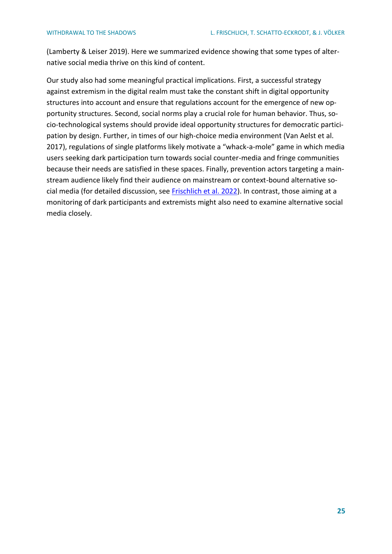(Lamberty & Leiser 2019). Here we summarized evidence showing that some types of alternative social media thrive on this kind of content.

Our study also had some meaningful practical implications. First, a successful strategy against extremism in the digital realm must take the constant shift in digital opportunity structures into account and ensure that regulations account for the emergence of new opportunity structures. Second, social norms play a crucial role for human behavior. Thus, socio-technological systems should provide ideal opportunity structures for democratic participation by design. Further, in times of our high-choice media environment (Van Aelst et al. 2017), regulations of single platforms likely motivate a "whack-a-mole" game in which media users seeking dark participation turn towards social counter-media and fringe communities because their needs are satisfied in these spaces. Finally, prevention actors targeting a mainstream audience likely find their audience on mainstream or context-bound alternative social media (for detailed discussion, see [Frischlich et al. 2022\)](https://www.bicc.de/publications/publicationpage/publication/rueckzug-in-die-schatten-die-verlagerung-digitaler-foren-zwischen-fringe-communities-und-dark-so/). In contrast, those aiming at a monitoring of dark participants and extremists might also need to examine alternative social media closely.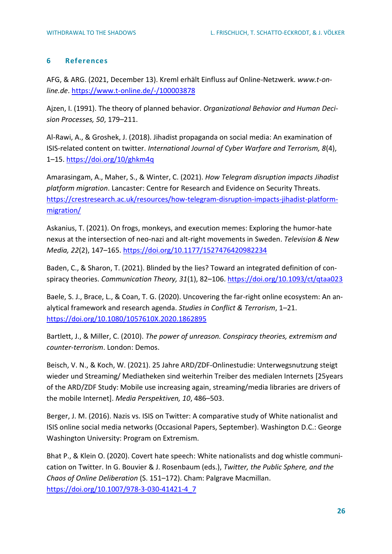# <span id="page-25-0"></span>**6 References**

AFG, & ARG. (2021, December 13). Kreml erhält Einfluss auf Online-Netzwerk. *www.t-online.de*.<https://www.t-online.de/-/100003878>

Ajzen, I. (1991). The theory of planned behavior. *Organizational Behavior and Human Decision Processes, 50*, 179–211.

Al-Rawi, A., & Groshek, J. (2018). Jihadist propaganda on social media: An examination of ISIS-related content on twitter. *International Journal of Cyber Warfare and Terrorism, 8*(4), 1–15.<https://doi.org/10/ghkm4q>

Amarasingam, A., Maher, S., & Winter, C. (2021). *How Telegram disruption impacts Jihadist platform migration*. Lancaster: Centre for Research and Evidence on Security Threats. [https://crestresearch.ac.uk/resources/how-telegram-disruption-impacts-jihadist-platform](https://crestresearch.ac.uk/resources/how-telegram-disruption-impacts-jihadist-platform-migration/)[migration/](https://crestresearch.ac.uk/resources/how-telegram-disruption-impacts-jihadist-platform-migration/)

Askanius, T. (2021). On frogs, monkeys, and execution memes: Exploring the humor-hate nexus at the intersection of neo-nazi and alt-right movements in Sweden. *Television & New Media, 22*(2), 147–165.<https://doi.org/10.1177/1527476420982234>

Baden, C., & Sharon, T. (2021). Blinded by the lies? Toward an integrated definition of conspiracy theories. *Communication Theory, 31*(1), 82–106[. https://doi.org/10.1093/ct/qtaa023](https://doi.org/10.1093/ct/qtaa023)

Baele, S. J., Brace, L., & Coan, T. G. (2020). Uncovering the far-right online ecosystem: An analytical framework and research agenda. *Studies in Conflict & Terrorism*, 1–21. <https://doi.org/10.1080/1057610X.2020.1862895>

Bartlett, J., & Miller, C. (2010). *The power of unreason. Conspiracy theories, extremism and counter-terrorism*. London: Demos.

Beisch, V. N., & Koch, W. (2021). 25 Jahre ARD/ZDF-Onlinestudie: Unterwegsnutzung steigt wieder und Streaming/ Mediatheken sind weiterhin Treiber des medialen Internets [25years of the ARD/ZDF Study: Mobile use increasing again, streaming/media libraries are drivers of the mobile Internet]. *Media Perspektiven, 10*, 486–503.

Berger, J. M. (2016). Nazis vs. ISIS on Twitter: A comparative study of White nationalist and ISIS online social media networks (Occasional Papers, September). Washington D.C.: George Washington University: Program on Extremism.

Bhat P., & Klein O. (2020). Covert hate speech: White nationalists and dog whistle communication on Twitter. In G. Bouvier & J. Rosenbaum (eds.), *Twitter, the Public Sphere, and the Chaos of Online Deliberation* (S. 151–172). Cham: Palgrave Macmillan. [https://doi.org/10.1007/978-3-030-41421-4\\_7](https://doi.org/10.1007/978-3-030-41421-4_7)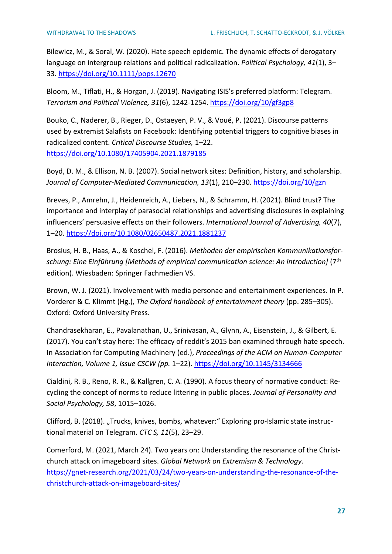Bilewicz, M., & Soral, W. (2020). Hate speech epidemic. The dynamic effects of derogatory language on intergroup relations and political radicalization. *Political Psychology, 41*(1), 3– 33.<https://doi.org/10.1111/pops.12670>

Bloom, M., Tiflati, H., & Horgan, J. (2019). Navigating ISIS's preferred platform: Telegram. *Terrorism and Political Violence, 31*(6), 1242-1254.<https://doi.org/10/gf3gp8>

Bouko, C., Naderer, B., Rieger, D., Ostaeyen, P. V., & Voué, P. (2021). Discourse patterns used by extremist Salafists on Facebook: Identifying potential triggers to cognitive biases in radicalized content. *Critical Discourse Studies,* 1–22. <https://doi.org/10.1080/17405904.2021.1879185>

Boyd, D. M., & Ellison, N. B. (2007). Social network sites: Definition, history, and scholarship. *Journal of Computer-Mediated Communication, 13*(1), 210–230.<https://doi.org/10/gzn>

Breves, P., Amrehn, J., Heidenreich, A., Liebers, N., & Schramm, H. (2021). Blind trust? The importance and interplay of parasocial relationships and advertising disclosures in explaining influencers' persuasive effects on their followers. *International Journal of Advertising, 40*(7), 1–20.<https://doi.org/10.1080/02650487.2021.1881237>

Brosius, H. B., Haas, A., & Koschel, F. (2016). *Methoden der empirischen Kommunikationsforschung: Eine Einführung [Methods of empirical communication science: An introduction]* (7<sup>th</sup> edition). Wiesbaden: Springer Fachmedien VS.

Brown, W. J. (2021). Involvement with media personae and entertainment experiences. In P. Vorderer & C. Klimmt (Hg.), *The Oxford handbook of entertainment theory* (pp. 285–305). Oxford: Oxford University Press.

Chandrasekharan, E., Pavalanathan, U., Srinivasan, A., Glynn, A., Eisenstein, J., & Gilbert, E. (2017). You can't stay here: The efficacy of reddit's 2015 ban examined through hate speech. In Association for Computing Machinery (ed.), *Proceedings of the ACM on Human-Computer Interaction, Volume 1, Issue CSCW (pp.* 1–22).<https://doi.org/10.1145/3134666>

Cialdini, R. B., Reno, R. R., & Kallgren, C. A. (1990). A focus theory of normative conduct: Recycling the concept of norms to reduce littering in public places. *Journal of Personality and Social Psychology, 58*, 1015–1026.

Clifford, B. (2018). "Trucks, knives, bombs, whatever:" Exploring pro-Islamic state instructional material on Telegram. *CTC S, 11*(5), 23–29.

Comerford, M. (2021, March 24). Two years on: Understanding the resonance of the Christchurch attack on imageboard sites. *Global Network on Extremism & Technology*. [https://gnet-research.org/2021/03/24/two-years-on-understanding-the-resonance-of-the](https://gnet-research.org/2021/03/24/two-years-on-understanding-the-resonance-of-the-christchurch-attack-on-imageboard-sites/)[christchurch-attack-on-imageboard-sites/](https://gnet-research.org/2021/03/24/two-years-on-understanding-the-resonance-of-the-christchurch-attack-on-imageboard-sites/)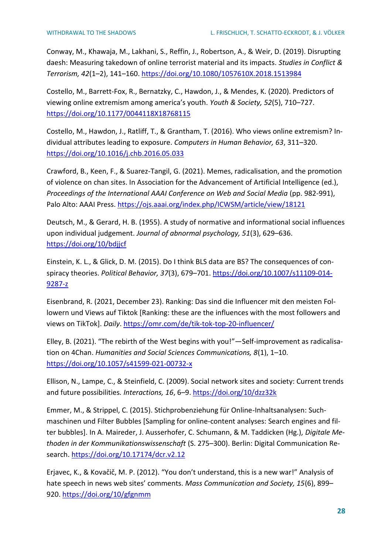Conway, M., Khawaja, M., Lakhani, S., Reffin, J., Robertson, A., & Weir, D. (2019). Disrupting daesh: Measuring takedown of online terrorist material and its impacts. *Studies in Conflict & Terrorism, 42*(1–2), 141–160.<https://doi.org/10.1080/1057610X.2018.1513984>

Costello, M., Barrett-Fox, R., Bernatzky, C., Hawdon, J., & Mendes, K. (2020). Predictors of viewing online extremism among america's youth. *Youth & Society, 52*(5), 710–727. <https://doi.org/10.1177/0044118X18768115>

Costello, M., Hawdon, J., Ratliff, T., & Grantham, T. (2016). Who views online extremism? Individual attributes leading to exposure. *Computers in Human Behavior, 63*, 311–320. <https://doi.org/10.1016/j.chb.2016.05.033>

Crawford, B., Keen, F., & Suarez-Tangil, G. (2021). Memes, radicalisation, and the promotion of violence on chan sites. In Association for the Advancement of Artificial Intelligence (ed.), *Proceedings of the International AAAI Conference on Web and Social Media* (pp. 982-991), Palo Alto: AAAI Press.<https://ojs.aaai.org/index.php/ICWSM/article/view/18121>

Deutsch, M., & Gerard, H. B. (1955). A study of normative and informational social influences upon individual judgement. *Journal of abnormal psychology, 51*(3), 629–636. <https://doi.org/10/bdjjcf>

Einstein, K. L., & Glick, D. M. (2015). Do I think BLS data are BS? The consequences of conspiracy theories. *Political Behavior, 37*(3), 679–701. [https://doi.org/10.1007/s11109-014-](https://doi.org/10.1007/s11109-014-9287-z) [9287-z](https://doi.org/10.1007/s11109-014-9287-z)

Eisenbrand, R. (2021, December 23). Ranking: Das sind die Influencer mit den meisten Followern und Views auf Tiktok [Ranking: these are the influences with the most followers and views on TikTok]. *Daily*.<https://omr.com/de/tik-tok-top-20-influencer/>

Elley, B. (2021). "The rebirth of the West begins with you!"—Self-improvement as radicalisation on 4Chan. *Humanities and Social Sciences Communications, 8*(1), 1–10. <https://doi.org/10.1057/s41599-021-00732-x>

Ellison, N., Lampe, C., & Steinfield, C. (2009). Social network sites and society: Current trends and future possibilities*. Interactions, 16*, 6–9.<https://doi.org/10/dzz32k>

Emmer, M., & Strippel, C. (2015). Stichprobenziehung für Online-Inhaltsanalysen: Suchmaschinen und Filter Bubbles [Sampling for online-content analyses: Search engines and filter bubbles]. In A. Maireder, J. Ausserhofer, C. Schumann, & M. Taddicken (Hg.), *Digitale Methoden in der Kommunikationswissenschaft* (S. 275–300). Berlin: Digital Communication Research.<https://doi.org/10.17174/dcr.v2.12>

Erjavec, K., & Kovačič, M. P. (2012). "You don't understand, this is a new war!" Analysis of hate speech in news web sites' comments. *Mass Communication and Society, 15*(6), 899– 920.<https://doi.org/10/gfgnmm>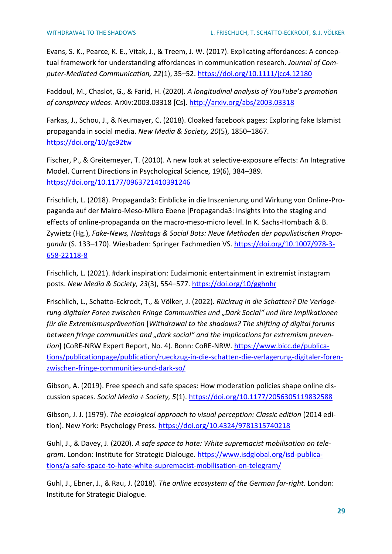Evans, S. K., Pearce, K. E., Vitak, J., & Treem, J. W. (2017). Explicating affordances: A conceptual framework for understanding affordances in communication research. *Journal of Computer-Mediated Communication, 22*(1), 35–52.<https://doi.org/10.1111/jcc4.12180>

Faddoul, M., Chaslot, G., & Farid, H. (2020). *A longitudinal analysis of YouTube's promotion of conspiracy videos*. ArXiv:2003.03318 [Cs].<http://arxiv.org/abs/2003.03318>

Farkas, J., Schou, J., & Neumayer, C. (2018). Cloaked facebook pages: Exploring fake Islamist propaganda in social media. *New Media & Society, 20*(5), 1850–1867. <https://doi.org/10/gc92tw>

Fischer, P., & Greitemeyer, T. (2010). A new look at selective-exposure effects: An Integrative Model. Current Directions in Psychological Science, 19(6), 384–389. <https://doi.org/10.1177/0963721410391246>

Frischlich, L. (2018). Propaganda3: Einblicke in die Inszenierung und Wirkung von Online-Propaganda auf der Makro-Meso-Mikro Ebene [Propaganda3: Insights into the staging and effects of online-propaganda on the macro-meso-micro level. In K. Sachs-Hombach & B. Zywietz (Hg.), *Fake-News, Hashtags & Social Bots: Neue Methoden der populistischen Propaganda* (S. 133–170). Wiesbaden: Springer Fachmedien VS[. https://doi.org/10.1007/978-3-](https://doi.org/10.1007/978-3-658-22118-8) [658-22118-8](https://doi.org/10.1007/978-3-658-22118-8)

Frischlich, L. (2021). #dark inspiration: Eudaimonic entertainment in extremist instagram posts. *New Media & Society, 23*(3), 554–577[. https://doi.org/10/gghnhr](https://doi.org/10/gghnhr)

Frischlich, L., Schatto-Eckrodt, T., & Völker, J. (2022). *Rückzug in die Schatten? Die Verlagerung digitaler Foren zwischen Fringe Communities und "Dark Social" und ihre Implikationen für die Extremismusprävention* [*Withdrawal to the shadows? The shifting of digital forums*  between fringe communities and "dark social" and the implications for extremism preven*tion*] (CoRE-NRW Expert Report, No. 4). Bonn: CoRE-NRW. [https://www.bicc.de/publica](https://www.bicc.de/publications/publicationpage/publication/rueckzug-in-die-schatten-die-verlagerung-digitaler-foren-zwischen-fringe-communities-und-dark-so/)[tions/publicationpage/publication/rueckzug-in-die-schatten-die-verlagerung-digitaler-foren](https://www.bicc.de/publications/publicationpage/publication/rueckzug-in-die-schatten-die-verlagerung-digitaler-foren-zwischen-fringe-communities-und-dark-so/)[zwischen-fringe-communities-und-dark-so/](https://www.bicc.de/publications/publicationpage/publication/rueckzug-in-die-schatten-die-verlagerung-digitaler-foren-zwischen-fringe-communities-und-dark-so/)

Gibson, A. (2019). Free speech and safe spaces: How moderation policies shape online discussion spaces. *Social Media + Society, 5*(1)[. https://doi.org/10.1177/2056305119832588](https://doi.org/10.1177/2056305119832588)

Gibson, J. J. (1979). *The ecological approach to visual perception: Classic edition* (2014 edition). New York: Psychology Press.<https://doi.org/10.4324/9781315740218>

Guhl, J., & Davey, J. (2020). *A safe space to hate: White supremacist mobilisation on telegram*. London: Institute for Strategic Dialouge. [https://www.isdglobal.org/isd-publica](https://www.isdglobal.org/isd-publications/a-safe-space-to-hate-white-supremacist-mobilisation-on-telegram/)[tions/a-safe-space-to-hate-white-supremacist-mobilisation-on-telegram/](https://www.isdglobal.org/isd-publications/a-safe-space-to-hate-white-supremacist-mobilisation-on-telegram/)

Guhl, J., Ebner, J., & Rau, J. (2018). *The online ecosystem of the German far-right*. London: Institute for Strategic Dialogue.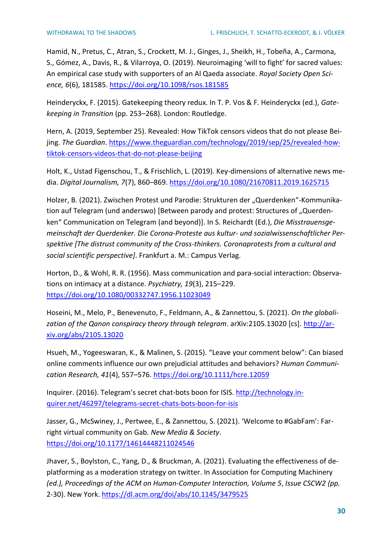Hamid, N., Pretus, C., Atran, S., Crockett, M. J., Ginges, J., Sheikh, H., Tobeña, A., Carmona, S., Gómez, A., Davis, R., & Vilarroya, O. (2019). Neuroimaging 'will to fight' for sacred values: An empirical case study with supporters of an Al Qaeda associate. *Royal Society Open Science, 6*(6), 181585.<https://doi.org/10.1098/rsos.181585>

Heinderyckx, F. (2015). Gatekeeping theory redux. In T. P. Vos & F. Heinderyckx (ed.), *Gatekeeping in Transition* (pp. 253–268). London: Routledge.

Hern, A. (2019, September 25). Revealed: How TikTok censors videos that do not please Beijing. *The Guardian*. [https://www.theguardian.com/technology/2019/sep/25/revealed-how](https://www.theguardian.com/technology/2019/sep/25/revealed-how-tiktok-censors-videos-that-do-not-please-beijing)[tiktok-censors-videos-that-do-not-please-beijing](https://www.theguardian.com/technology/2019/sep/25/revealed-how-tiktok-censors-videos-that-do-not-please-beijing)

Holt, K., Ustad Figenschou, T., & Frischlich, L. (2019). Key-dimensions of alternative news media. *Digital Journalism, 7*(7), 860–869.<https://doi.org/10.1080/21670811.2019.1625715>

Holzer, B. (2021). Zwischen Protest und Parodie: Strukturen der "Querdenken"-Kommunikation auf Telegram (und anderswo) [Between parody and protest: Structures of "Querdenken" Communication on Telegram (and beyond)]. In S. Reichardt (Ed.), *Die Misstrauensgemeinschaft der Querdenker. Die Corona-Proteste aus kultur- und sozialwissenschaftlicher Perspektive [The distrust community of the Cross-thinkers. Coronaprotests from a cultural and social scientific perspective]*. Frankfurt a. M.: Campus Verlag.

Horton, D., & Wohl, R. R. (1956). Mass communication and para-social interaction: Observations on intimacy at a distance. *Psychiatry, 19*(3), 215–229. <https://doi.org/10.1080/00332747.1956.11023049>

Hoseini, M., Melo, P., Benevenuto, F., Feldmann, A., & Zannettou, S. (2021). *On the globalization of the Qanon conspiracy theory through telegram*. arXiv:2105.13020 [cs]. [http://ar](http://arxiv.org/abs/2105.13020)[xiv.org/abs/2105.13020](http://arxiv.org/abs/2105.13020)

Hsueh, M., Yogeeswaran, K., & Malinen, S. (2015). "Leave your comment below": Can biased online comments influence our own prejudicial attitudes and behaviors? *Human Communication Research, 41*(4), 557–576.<https://doi.org/10.1111/hcre.12059>

Inquirer. (2016). Telegram's secret chat-bots boon for ISIS. [http://technology.in](http://technology.inquirer.net/46297/telegrams-secret-chats-bots-boon-for-isis)[quirer.net/46297/telegrams-secret-chats-bots-boon-for-isis](http://technology.inquirer.net/46297/telegrams-secret-chats-bots-boon-for-isis)

Jasser, G., McSwiney, J., Pertwee, E., & Zannettou, S. (2021). 'Welcome to #GabFam': Farright virtual community on Gab. *New Media & Society*. <https://doi.org/10.1177/14614448211024546>

Jhaver, S., Boylston, C., Yang, D., & Bruckman, A. (2021). Evaluating the effectiveness of deplatforming as a moderation strategy on twitter. In Association for Computing Machinery *(ed.), Proceedings of the ACM on Human-Computer Interaction, Volume 5*, *Issue CSCW2 (pp.*  2-30). New York[. https://dl.acm.org/doi/abs/10.1145/3479525](https://dl.acm.org/doi/abs/10.1145/3479525)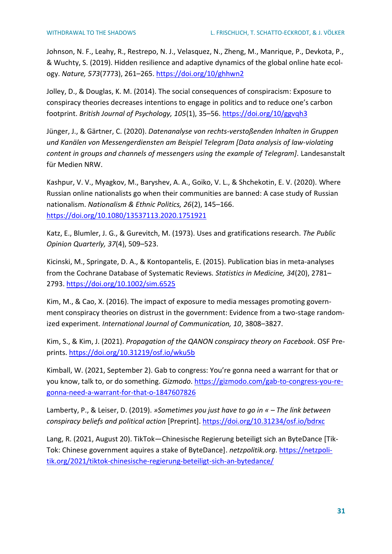Johnson, N. F., Leahy, R., Restrepo, N. J., Velasquez, N., Zheng, M., Manrique, P., Devkota, P., & Wuchty, S. (2019). Hidden resilience and adaptive dynamics of the global online hate ecology. *Nature, 573*(7773), 261–265.<https://doi.org/10/ghhwn2>

Jolley, D., & Douglas, K. M. (2014). The social consequences of conspiracism: Exposure to conspiracy theories decreases intentions to engage in politics and to reduce one's carbon footprint. *British Journal of Psychology, 105*(1), 35–56.<https://doi.org/10/ggvqh3>

Jünger, J., & Gärtner, C. (2020). *Datenanalyse von rechts-verstoßenden Inhalten in Gruppen und Kanälen von Messengerdiensten am Beispiel Telegram [Data analysis of law-violating content in groups and channels of messengers using the example of Telegram].* Landesanstalt für Medien NRW.

Kashpur, V. V., Myagkov, M., Baryshev, A. A., Goiko, V. L., & Shchekotin, E. V. (2020). Where Russian online nationalists go when their communities are banned: A case study of Russian nationalism. *Nationalism & Ethnic Politics, 26*(2), 145–166. <https://doi.org/10.1080/13537113.2020.1751921>

Katz, E., Blumler, J. G., & Gurevitch, M. (1973). Uses and gratifications research. *The Public Opinion Quarterly, 37*(4), 509–523.

Kicinski, M., Springate, D. A., & Kontopantelis, E. (2015). Publication bias in meta-analyses from the Cochrane Database of Systematic Reviews*. Statistics in Medicine, 34*(20), 2781– 2793.<https://doi.org/10.1002/sim.6525>

Kim, M., & Cao, X. (2016). The impact of exposure to media messages promoting government conspiracy theories on distrust in the government: Evidence from a two-stage randomized experiment. *International Journal of Communication, 10*, 3808–3827.

Kim, S., & Kim, J. (2021). *Propagation of the QANON conspiracy theory on Facebook*. OSF Preprints.<https://doi.org/10.31219/osf.io/wku5b>

Kimball, W. (2021, September 2). Gab to congress: You're gonna need a warrant for that or you know, talk to, or do something. *Gizmodo*. [https://gizmodo.com/gab-to-congress-you-re](https://gizmodo.com/gab-to-congress-you-re-gonna-need-a-warrant-for-that-o-1847607826)[gonna-need-a-warrant-for-that-o-1847607826](https://gizmodo.com/gab-to-congress-you-re-gonna-need-a-warrant-for-that-o-1847607826)

Lamberty, P., & Leiser, D. (2019). *»Sometimes you just have to go in « – The link between conspiracy beliefs and political action* [Preprint].<https://doi.org/10.31234/osf.io/bdrxc>

Lang, R. (2021, August 20). TikTok—Chinesische Regierung beteiligt sich an ByteDance [Tik-Tok: Chinese government aquires a stake of ByteDance]. *netzpolitik.org*. [https://netzpoli](https://netzpolitik.org/2021/tiktok-chinesische-regierung-beteiligt-sich-an-bytedance/)[tik.org/2021/tiktok-chinesische-regierung-beteiligt-sich-an-bytedance/](https://netzpolitik.org/2021/tiktok-chinesische-regierung-beteiligt-sich-an-bytedance/)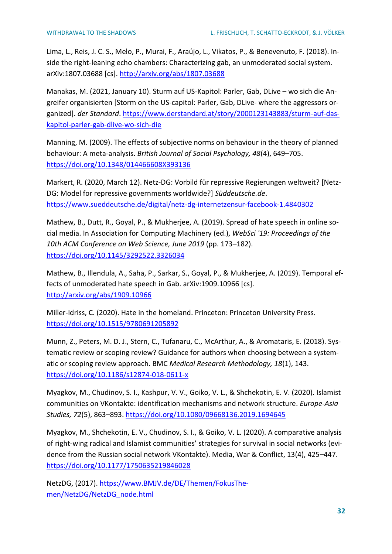Lima, L., Reis, J. C. S., Melo, P., Murai, F., Araújo, L., Vikatos, P., & Benevenuto, F. (2018). Inside the right-leaning echo chambers: Characterizing gab, an unmoderated social system. arXiv:1807.03688 [cs]. <http://arxiv.org/abs/1807.03688>

Manakas, M. (2021, January 10). Sturm auf US-Kapitol: Parler, Gab, DLive – wo sich die Angreifer organisierten [Storm on the US-capitol: Parler, Gab, DLive- where the aggressors organized]. *der Standard*. [https://www.derstandard.at/story/2000123143883/sturm-auf-das](https://www.derstandard.at/story/2000123143883/sturm-auf-das-kapitol-parler-gab-dlive-wo-sich-die)[kapitol-parler-gab-dlive-wo-sich-die](https://www.derstandard.at/story/2000123143883/sturm-auf-das-kapitol-parler-gab-dlive-wo-sich-die)

Manning, M. (2009). The effects of subjective norms on behaviour in the theory of planned behaviour: A meta-analysis. *British Journal of Social Psychology, 48*(4), 649–705. <https://doi.org/10.1348/014466608X393136>

Markert, R. (2020, March 12). Netz-DG: Vorbild für repressive Regierungen weltweit? [Netz-DG: Model for repressive governments worldwide?] *Süddeutsche.de*. <https://www.sueddeutsche.de/digital/netz-dg-internetzensur-facebook-1.4840302>

Mathew, B., Dutt, R., Goyal, P., & Mukherjee, A. (2019). Spread of hate speech in online social media. In Association for Computing Machinery (ed.), *WebSci '19: Proceedings of the 10th ACM Conference on Web Science, June 2019* (pp. 173–182). <https://doi.org/10.1145/3292522.3326034>

Mathew, B., Illendula, A., Saha, P., Sarkar, S., Goyal, P., & Mukherjee, A. (2019). Temporal effects of unmoderated hate speech in Gab. arXiv:1909.10966 [cs]. <http://arxiv.org/abs/1909.10966>

Miller-Idriss, C. (2020). Hate in the homeland. Princeton: Princeton University Press. <https://doi.org/10.1515/9780691205892>

Munn, Z., Peters, M. D. J., Stern, C., Tufanaru, C., McArthur, A., & Aromataris, E. (2018). Systematic review or scoping review? Guidance for authors when choosing between a systematic or scoping review approach. BMC *Medical Research Methodology, 18*(1), 143. <https://doi.org/10.1186/s12874-018-0611-x>

Myagkov, M., Chudinov, S. I., Kashpur, V. V., Goiko, V. L., & Shchekotin, E. V. (2020). Islamist communities on VKontakte: identification mechanisms and network structure. *Europe-Asia Studies, 72*(5), 863–893.<https://doi.org/10.1080/09668136.2019.1694645>

Myagkov, M., Shchekotin, E. V., Chudinov, S. I., & Goiko, V. L. (2020). A comparative analysis of right-wing radical and Islamist communities' strategies for survival in social networks (evidence from the Russian social network VKontakte). Media, War & Conflict, 13(4), 425–447. <https://doi.org/10.1177/1750635219846028>

NetzDG, (2017). [https://www.BMJV.de/DE/Themen/FokusThe](https://www.bmjv.de/DE/Themen/FokusThemen/NetzDG/NetzDG_node.html)[men/NetzDG/NetzDG\\_node.html](https://www.bmjv.de/DE/Themen/FokusThemen/NetzDG/NetzDG_node.html)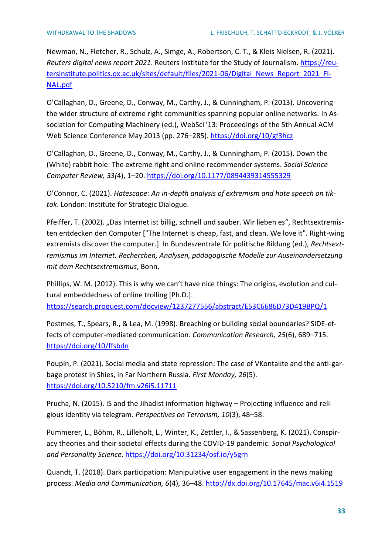Newman, N., Fletcher, R., Schulz, A., Simge, A., Robertson, C. T., & Kleis Nielsen, R. (2021). *Reuters digital news report 2021*. Reuters Institute for the Study of Journalism. [https://reu](https://reutersinstitute.politics.ox.ac.uk/sites/default/files/2021-06/Digital_News_Report_2021_FINAL.pdf)[tersinstitute.politics.ox.ac.uk/sites/default/files/2021-06/Digital\\_News\\_Report\\_2021\\_FI-](https://reutersinstitute.politics.ox.ac.uk/sites/default/files/2021-06/Digital_News_Report_2021_FINAL.pdf)[NAL.pdf](https://reutersinstitute.politics.ox.ac.uk/sites/default/files/2021-06/Digital_News_Report_2021_FINAL.pdf)

O'Callaghan, D., Greene, D., Conway, M., Carthy, J., & Cunningham, P. (2013). Uncovering the wider structure of extreme right communities spanning popular online networks. In Association for Computing Machinery (ed.), WebSci '13: Proceedings of the 5th Annual ACM Web Science Conference May 2013 (pp. 276–285).<https://doi.org/10/gf3hcz>

O'Callaghan, D., Greene, D., Conway, M., Carthy, J., & Cunningham, P. (2015). Down the (White) rabbit hole: The extreme right and online recommender systems. *Social Science Computer Review, 33(*4), 1–20.<https://doi.org/10.1177/0894439314555329>

O'Connor, C. (2021). *Hatescape: An in-depth analysis of extremism and hate speech on tiktok*. London: Institute for Strategic Dialogue.

Pfeiffer, T. (2002). "Das Internet ist billig, schnell und sauber. Wir lieben es", Rechtsextremisten entdecken den Computer ["The Internet is cheap, fast, and clean. We love it". Right-wing extremists discover the computer.]. In Bundeszentrale für politische Bildung (ed.), *Rechtsextremismus im Internet. Recherchen, Analysen, pädagogische Modelle zur Auseinandersetzung mit dem Rechtsextremismus*, Bonn.

Phillips, W. M. (2012). This is why we can't have nice things: The origins, evolution and cultural embeddedness of online trolling [Ph.D.]. <https://search.proquest.com/docview/1237277556/abstract/E53C6686D73D419BPQ/1>

Postmes, T., Spears, R., & Lea, M. (1998). Breaching or building social boundaries? SIDE-effects of computer-mediated communication. *Communication Research, 25*(6), 689–715. <https://doi.org/10/ffsbdn>

Poupin, P. (2021). Social media and state repression: The case of VKontakte and the anti-garbage protest in Shies, in Far Northern Russia. *First Monday, 26*(5). <https://doi.org/10.5210/fm.v26i5.11711>

Prucha, N. (2015). IS and the Jihadist information highway – Projecting influence and religious identity via telegram. *Perspectives on Terrorism, 10*(3), 48–58.

Pummerer, L., Böhm, R., Lilleholt, L., Winter, K., Zettler, I., & Sassenberg, K. (2021). Conspiracy theories and their societal effects during the COVID-19 pandemic. *Social Psychological and Personality Science*.<https://doi.org/10.31234/osf.io/y5grn>

Quandt, T. (2018). Dark participation: Manipulative user engagement in the news making process. *Media and Communication, 6*(4), 36–48.<http://dx.doi.org/10.17645/mac.v6i4.1519>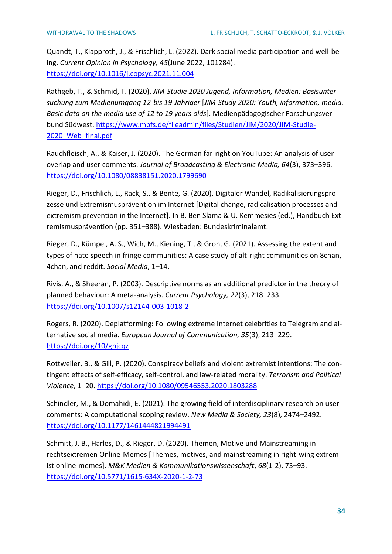Quandt, T., Klapproth, J., & Frischlich, L. (2022). Dark social media participation and well-being. *Current Opinion in Psychology, 45*(June 2022, 101284). <https://doi.org/10.1016/j.copsyc.2021.11.004>

Rathgeb, T., & Schmid, T. (2020). *JIM-Studie 2020 Jugend, Information, Medien: Basisuntersuchung zum Medienumgang 12-bis 19-Jähriger* [*JIM-Study 2020: Youth, information, media. Basic data on the media use of 12 to 19 years olds*]. Medienpädagogischer Forschungsverbund Südwest. [https://www.mpfs.de/fileadmin/files/Studien/JIM/2020/JIM-Studie-](https://www.mpfs.de/fileadmin/files/Studien/JIM/2020/JIM-Studie-2020_Web_final.pdf)2020 Web final.pdf

Rauchfleisch, A., & Kaiser, J. (2020). The German far-right on YouTube: An analysis of user overlap and user comments. *Journal of Broadcasting & Electronic Media, 64*(3), 373–396. <https://doi.org/10.1080/08838151.2020.1799690>

Rieger, D., Frischlich, L., Rack, S., & Bente, G. (2020). Digitaler Wandel, Radikalisierungsprozesse und Extremismusprävention im Internet [Digital change, radicalisation processes and extremism prevention in the Internet]. In B. Ben Slama & U. Kemmesies (ed.), Handbuch Extremismusprävention (pp. 351–388). Wiesbaden: Bundeskriminalamt.

Rieger, D., Kümpel, A. S., Wich, M., Kiening, T., & Groh, G. (2021). Assessing the extent and types of hate speech in fringe communities: A case study of alt-right communities on 8chan, 4chan, and reddit. *Social Media*, 1–14.

Rivis, A., & Sheeran, P. (2003). Descriptive norms as an additional predictor in the theory of planned behaviour: A meta-analysis. *Current Psychology, 22*(3), 218–233. <https://doi.org/10.1007/s12144-003-1018-2>

Rogers, R. (2020). Deplatforming: Following extreme Internet celebrities to Telegram and alternative social media. *European Journal of Communication, 35*(3), 213–229. <https://doi.org/10/ghjcqz>

Rottweiler, B., & Gill, P. (2020). Conspiracy beliefs and violent extremist intentions: The contingent effects of self-efficacy, self-control, and law-related morality. *Terrorism and Political Violence*, 1–20.<https://doi.org/10.1080/09546553.2020.1803288>

Schindler, M., & Domahidi, E. (2021). The growing field of interdisciplinary research on user comments: A computational scoping review. *New Media & Society, 23*(8), 2474–2492. <https://doi.org/10.1177/1461444821994491>

Schmitt, J. B., Harles, D., & Rieger, D. (2020). Themen, Motive und Mainstreaming in rechtsextremen Online-Memes [Themes, motives, and mainstreaming in right-wing extremist online-memes]. *M&K Medien & Kommunikationswissenschaft*, *68*(1-2), 73–93. <https://doi.org/10.5771/1615-634X-2020-1-2-73>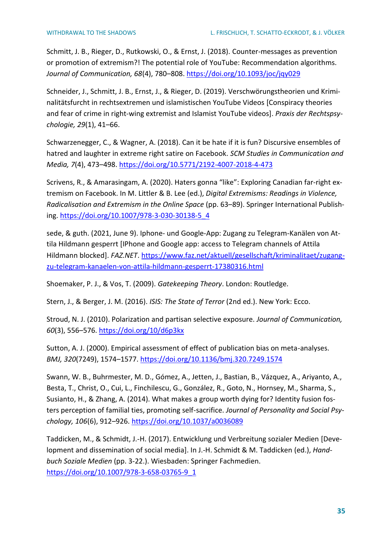Schmitt, J. B., Rieger, D., Rutkowski, O., & Ernst, J. (2018). Counter-messages as prevention or promotion of extremism?! The potential role of YouTube: Recommendation algorithms. *Journal of Communication, 68*(4), 780–808.<https://doi.org/10.1093/joc/jqy029>

Schneider, J., Schmitt, J. B., Ernst, J., & Rieger, D. (2019). Verschwörungstheorien und Kriminalitätsfurcht in rechtsextremen und islamistischen YouTube Videos [Conspiracy theories and fear of crime in right-wing extremist and Islamist YouTube videos]. *Praxis der Rechtspsychologie, 29*(1), 41–66.

Schwarzenegger, C., & Wagner, A. (2018). Can it be hate if it is fun? Discursive ensembles of hatred and laughter in extreme right satire on Facebook. *SCM Studies in Communication and Media, 7*(4), 473–498.<https://doi.org/10.5771/2192-4007-2018-4-473>

Scrivens, R., & Amarasingam, A. (2020). Haters gonna "like": Exploring Canadian far-right extremism on Facebook. In M. Littler & B. Lee (ed.), *Digital Extremisms: Readings in Violence, Radicalisation and Extremism in the Online Space* (pp. 63–89). Springer International Publishing. [https://doi.org/10.1007/978-3-030-30138-5\\_4](https://doi.org/10.1007/978-3-030-30138-5_4)

sede, & guth. (2021, June 9). Iphone- und Google-App: Zugang zu Telegram-Kanälen von Attila Hildmann gesperrt [IPhone and Google app: access to Telegram channels of Attila Hildmann blocked]. *FAZ.NET*. [https://www.faz.net/aktuell/gesellschaft/kriminalitaet/zugang](https://www.faz.net/aktuell/gesellschaft/kriminalitaet/zugang-zu-telegram-kanaelen-von-attila-hildmann-gesperrt-17380316.html)[zu-telegram-kanaelen-von-attila-hildmann-gesperrt-17380316.html](https://www.faz.net/aktuell/gesellschaft/kriminalitaet/zugang-zu-telegram-kanaelen-von-attila-hildmann-gesperrt-17380316.html)

Shoemaker, P. J., & Vos, T. (2009). *Gatekeeping Theory*. London: Routledge.

Stern, J., & Berger, J. M. (2016). *ISIS: The State of Terror* (2nd ed.). New York: Ecco.

Stroud, N. J. (2010). Polarization and partisan selective exposure. *Journal of Communication, 60*(3), 556–576.<https://doi.org/10/d6p3kx>

Sutton, A. J. (2000). Empirical assessment of effect of publication bias on meta-analyses. *BMJ, 320*(7249), 1574–1577.<https://doi.org/10.1136/bmj.320.7249.1574>

Swann, W. B., Buhrmester, M. D., Gómez, A., Jetten, J., Bastian, B., Vázquez, A., Ariyanto, A., Besta, T., Christ, O., Cui, L., Finchilescu, G., González, R., Goto, N., Hornsey, M., Sharma, S., Susianto, H., & Zhang, A. (2014). What makes a group worth dying for? Identity fusion fosters perception of familial ties, promoting self-sacrifice. *Journal of Personality and Social Psychology, 106*(6), 912–926.<https://doi.org/10.1037/a0036089>

Taddicken, M., & Schmidt, J.-H. (2017). Entwicklung und Verbreitung sozialer Medien [Development and dissemination of social media]. In J.-H. Schmidt & M. Taddicken (ed.), *Handbuch Soziale Medien* (pp. 3-22.). Wiesbaden: Springer Fachmedien. [https://doi.org/10.1007/978-3-658-03765-9\\_1](https://doi.org/10.1007/978-3-658-03765-9_1)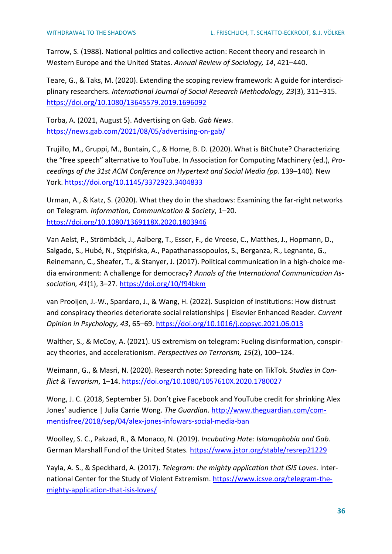Tarrow, S. (1988). National politics and collective action: Recent theory and research in Western Europe and the United States. *Annual Review of Sociology, 14*, 421–440.

Teare, G., & Taks, M. (2020). Extending the scoping review framework: A guide for interdisciplinary researchers. *International Journal of Social Research Methodology, 23*(3), 311–315. <https://doi.org/10.1080/13645579.2019.1696092>

Torba, A. (2021, August 5). Advertising on Gab. *Gab News*. <https://news.gab.com/2021/08/05/advertising-on-gab/>

Trujillo, M., Gruppi, M., Buntain, C., & Horne, B. D. (2020). What is BitChute? Characterizing the "free speech" alternative to YouTube. In Association for Computing Machinery (ed.), *Proceedings of the 31st ACM Conference on Hypertext and Social Media (pp.* 139–140). New York.<https://doi.org/10.1145/3372923.3404833>

Urman, A., & Katz, S. (2020). What they do in the shadows: Examining the far-right networks on Telegram. *Information, Communication & Society*, 1–20. <https://doi.org/10.1080/1369118X.2020.1803946>

Van Aelst, P., Strömbäck, J., Aalberg, T., Esser, F., de Vreese, C., Matthes, J., Hopmann, D., Salgado, S., Hubé, N., Stępińska, A., Papathanassopoulos, S., Berganza, R., Legnante, G., Reinemann, C., Sheafer, T., & Stanyer, J. (2017). Political communication in a high-choice media environment: A challenge for democracy? *Annals of the International Communication Association, 41*(1), 3–27.<https://doi.org/10/f94bkm>

van Prooijen, J.-W., Spardaro, J., & Wang, H. (2022). Suspicion of institutions: How distrust and conspiracy theories deteriorate social relationships | Elsevier Enhanced Reader. *Current Opinion in Psychology, 43*, 65–69.<https://doi.org/10.1016/j.copsyc.2021.06.013>

Walther, S., & McCoy, A. (2021). US extremism on telegram: Fueling disinformation, conspiracy theories, and accelerationism. *Perspectives on Terrorism, 15*(2), 100–124.

Weimann, G., & Masri, N. (2020). Research note: Spreading hate on TikTok. *Studies in Conflict & Terrorism*, 1–14.<https://doi.org/10.1080/1057610X.2020.1780027>

Wong, J. C. (2018, September 5). Don't give Facebook and YouTube credit for shrinking Alex Jones' audience | Julia Carrie Wong. *The Guardian*. [http://www.theguardian.com/com](http://www.theguardian.com/commentisfree/2018/sep/04/alex-jones-infowars-social-media-ban)[mentisfree/2018/sep/04/alex-jones-infowars-social-media-ban](http://www.theguardian.com/commentisfree/2018/sep/04/alex-jones-infowars-social-media-ban)

Woolley, S. C., Pakzad, R., & Monaco, N. (2019). *Incubating Hate: Islamophobia and Gab.*  German Marshall Fund of the United States. <https://www.jstor.org/stable/resrep21229>

Yayla, A. S., & Speckhard, A. (2017). *Telegram: the mighty application that ISIS Loves*. International Center for the Study of Violent Extremism. [https://www.icsve.org/telegram-the](https://www.icsve.org/telegram-the-mighty-application-that-isis-loves/)[mighty-application-that-isis-loves/](https://www.icsve.org/telegram-the-mighty-application-that-isis-loves/)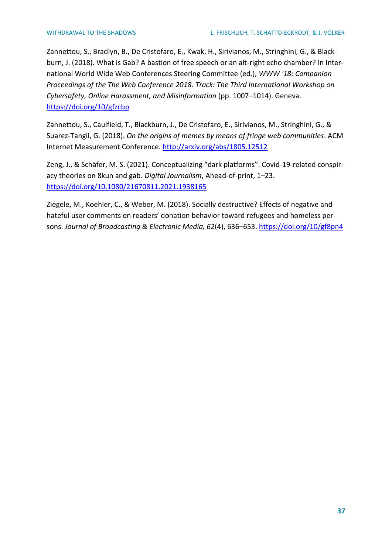Zannettou, S., Bradlyn, B., De Cristofaro, E., Kwak, H., Sirivianos, M., Stringhini, G., & Blackburn, J. (2018). What is Gab? A bastion of free speech or an alt-right echo chamber? In International World Wide Web Conferences Steering Committee (ed.), *WWW '18: Companion Proceedings of the The Web Conference 2018. Track: The Third International Workshop on Cybersafety, Online Harassment, and Misinformation* (pp. 1007–1014). Geneva. <https://doi.org/10/gfzcbp>

Zannettou, S., Caulfield, T., Blackburn, J., De Cristofaro, E., Sirivianos, M., Stringhini, G., & Suarez-Tangil, G. (2018). *On the origins of memes by means of fringe web communities*. ACM Internet Measurement Conference.<http://arxiv.org/abs/1805.12512>

Zeng, J., & Schäfer, M. S. (2021). Conceptualizing "dark platforms". Covid-19-related conspiracy theories on 8kun and gab. *Digital Journalism*, Ahead-of-print, 1–23. <https://doi.org/10.1080/21670811.2021.1938165>

Ziegele, M., Koehler, C., & Weber, M. (2018). Socially destructive? Effects of negative and hateful user comments on readers' donation behavior toward refugees and homeless persons. *Journal of Broadcasting & Electronic Media, 62*(4), 636–653.<https://doi.org/10/gf8pn4>